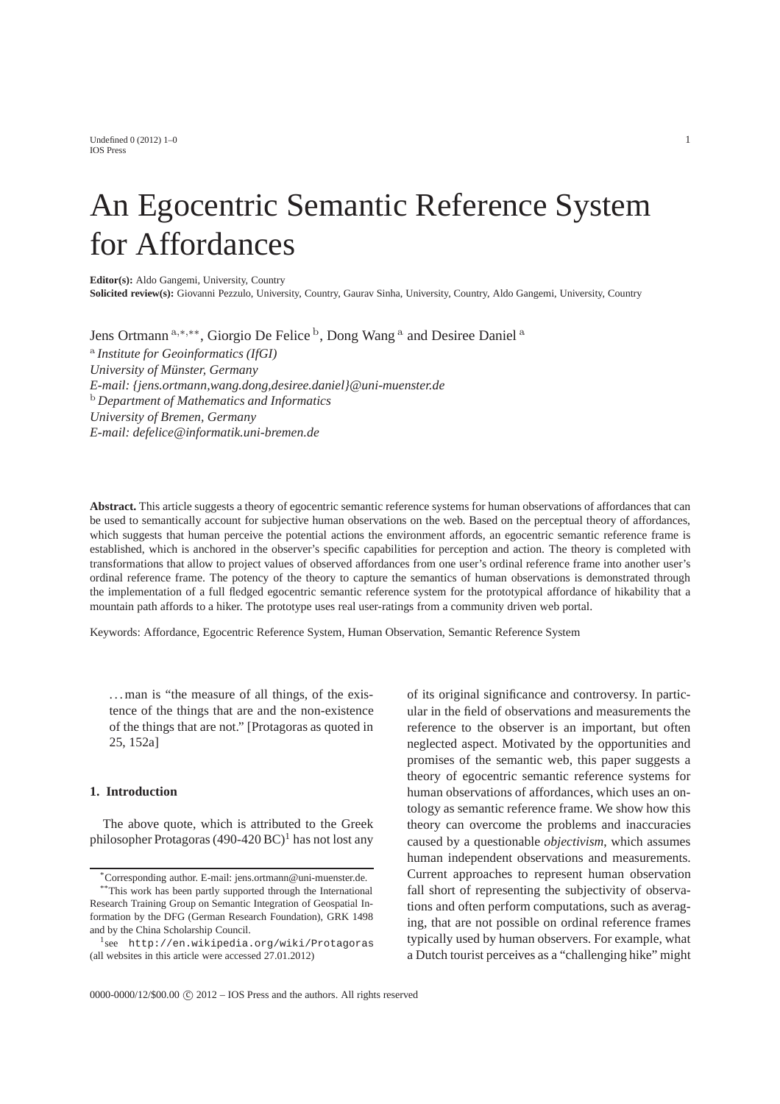Undefined  $0(2012)$  1–0 1 IOS Press

# An Egocentric Semantic Reference System for Affordances

**Editor(s):** Aldo Gangemi, University, Country **Solicited review(s):** Giovanni Pezzulo, University, Country, Gaurav Sinha, University, Country, Aldo Gangemi, University, Country

Jens Ortmann<sup>a,∗,∗∗</sup>, Giorgio De Felice<sup>b</sup>, Dong Wang<sup>a</sup> and Desiree Daniel<sup>a</sup>

a *Institute for Geoinformatics (IfGI) University of Münster, Germany E-mail: {jens.ortmann,wang.dong,desiree.daniel}@uni-muenster.de* <sup>b</sup> *Department of Mathematics and Informatics University of Bremen, Germany E-mail: defelice@informatik.uni-bremen.de*

**Abstract.** This article suggests a theory of egocentric semantic reference systems for human observations of affordances that can be used to semantically account for subjective human observations on the web. Based on the perceptual theory of affordances, which suggests that human perceive the potential actions the environment affords, an egocentric semantic reference frame is established, which is anchored in the observer's specific capabilities for perception and action. The theory is completed with transformations that allow to project values of observed affordances from one user's ordinal reference frame into another user's ordinal reference frame. The potency of the theory to capture the semantics of human observations is demonstrated through the implementation of a full fledged egocentric semantic reference system for the prototypical affordance of hikability that a mountain path affords to a hiker. The prototype uses real user-ratings from a community driven web portal.

Keywords: Affordance, Egocentric Reference System, Human Observation, Semantic Reference System

. . . man is "the measure of all things, of the existence of the things that are and the non-existence of the things that are not." [Protagoras as quoted in 25, 152a]

#### **1. Introduction**

The above quote, which is attributed to the Greek philosopher Protagoras  $(490-420 \,\text{BC})^1$  has not lost any of its original significance and controversy. In particular in the field of observations and measurements the reference to the observer is an important, but often neglected aspect. Motivated by the opportunities and promises of the semantic web, this paper suggests a theory of egocentric semantic reference systems for human observations of affordances, which uses an ontology as semantic reference frame. We show how this theory can overcome the problems and inaccuracies caused by a questionable *objectivism*, which assumes human independent observations and measurements. Current approaches to represent human observation fall short of representing the subjectivity of observations and often perform computations, such as averaging, that are not possible on ordinal reference frames typically used by human observers. For example, what a Dutch tourist perceives as a "challenging hike" might

<sup>\*</sup>Corresponding author. E-mail: jens.ortmann@uni-muenster.de.

<sup>\*\*</sup>This work has been partly supported through the International Research Training Group on Semantic Integration of Geospatial Information by the DFG (German Research Foundation), GRK 1498 and by the China Scholarship Council.

<sup>1</sup> see http://en.wikipedia.org/wiki/Protagoras (all websites in this article were accessed 27.01.2012)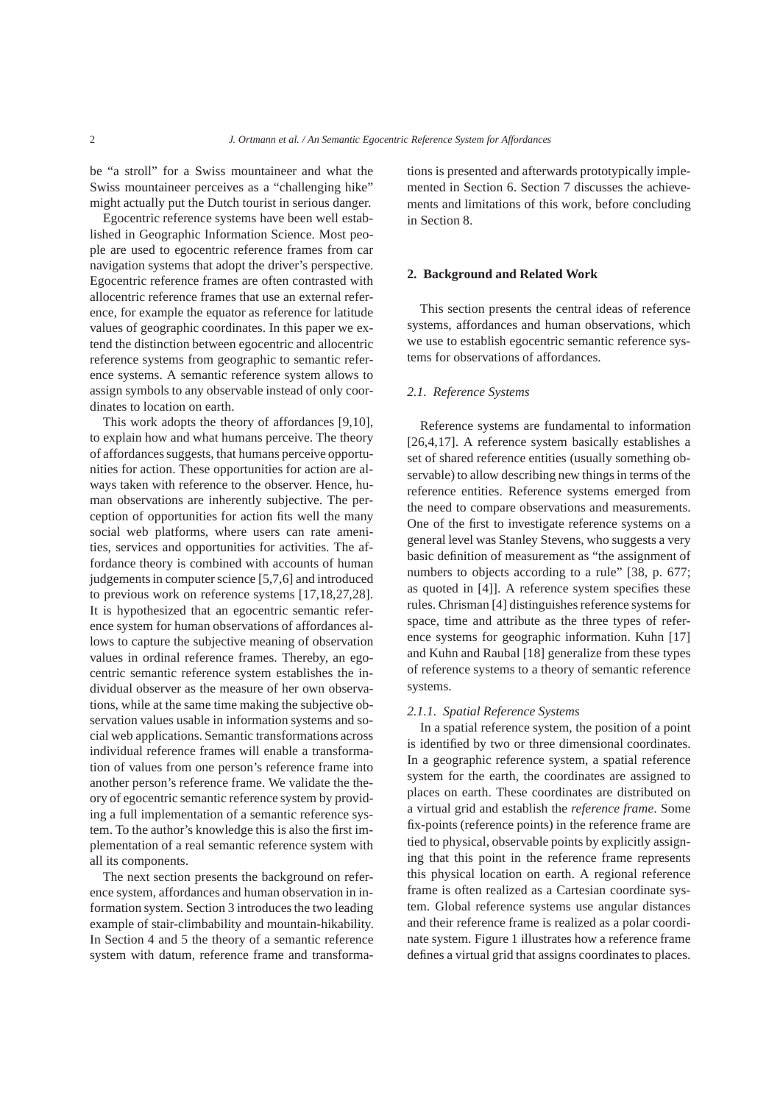be "a stroll" for a Swiss mountaineer and what the Swiss mountaineer perceives as a "challenging hike" might actually put the Dutch tourist in serious danger.

Egocentric reference systems have been well established in Geographic Information Science. Most people are used to egocentric reference frames from car navigation systems that adopt the driver's perspective. Egocentric reference frames are often contrasted with allocentric reference frames that use an external reference, for example the equator as reference for latitude values of geographic coordinates. In this paper we extend the distinction between egocentric and allocentric reference systems from geographic to semantic reference systems. A semantic reference system allows to assign symbols to any observable instead of only coordinates to location on earth.

This work adopts the theory of affordances [9,10], to explain how and what humans perceive. The theory of affordances suggests, that humans perceive opportunities for action. These opportunities for action are always taken with reference to the observer. Hence, human observations are inherently subjective. The perception of opportunities for action fits well the many social web platforms, where users can rate amenities, services and opportunities for activities. The affordance theory is combined with accounts of human judgements in computer science [5,7,6] and introduced to previous work on reference systems [17,18,27,28]. It is hypothesized that an egocentric semantic reference system for human observations of affordances allows to capture the subjective meaning of observation values in ordinal reference frames. Thereby, an egocentric semantic reference system establishes the individual observer as the measure of her own observations, while at the same time making the subjective observation values usable in information systems and social web applications. Semantic transformations across individual reference frames will enable a transformation of values from one person's reference frame into another person's reference frame. We validate the theory of egocentric semantic reference system by providing a full implementation of a semantic reference system. To the author's knowledge this is also the first implementation of a real semantic reference system with all its components.

The next section presents the background on reference system, affordances and human observation in information system. Section 3 introduces the two leading example of stair-climbability and mountain-hikability. In Section 4 and 5 the theory of a semantic reference system with datum, reference frame and transformations is presented and afterwards prototypically implemented in Section 6. Section 7 discusses the achievements and limitations of this work, before concluding in Section 8.

#### **2. Background and Related Work**

This section presents the central ideas of reference systems, affordances and human observations, which we use to establish egocentric semantic reference systems for observations of affordances.

#### *2.1. Reference Systems*

Reference systems are fundamental to information [26,4,17]. A reference system basically establishes a set of shared reference entities (usually something observable) to allow describing new things in terms of the reference entities. Reference systems emerged from the need to compare observations and measurements. One of the first to investigate reference systems on a general level was Stanley Stevens, who suggests a very basic definition of measurement as "the assignment of numbers to objects according to a rule" [38, p. 677; as quoted in [4]]. A reference system specifies these rules. Chrisman [4] distinguishes reference systems for space, time and attribute as the three types of reference systems for geographic information. Kuhn [17] and Kuhn and Raubal [18] generalize from these types of reference systems to a theory of semantic reference systems.

#### *2.1.1. Spatial Reference Systems*

In a spatial reference system, the position of a point is identified by two or three dimensional coordinates. In a geographic reference system, a spatial reference system for the earth, the coordinates are assigned to places on earth. These coordinates are distributed on a virtual grid and establish the *reference frame*. Some fix-points (reference points) in the reference frame are tied to physical, observable points by explicitly assigning that this point in the reference frame represents this physical location on earth. A regional reference frame is often realized as a Cartesian coordinate system. Global reference systems use angular distances and their reference frame is realized as a polar coordinate system. Figure 1 illustrates how a reference frame defines a virtual grid that assigns coordinates to places.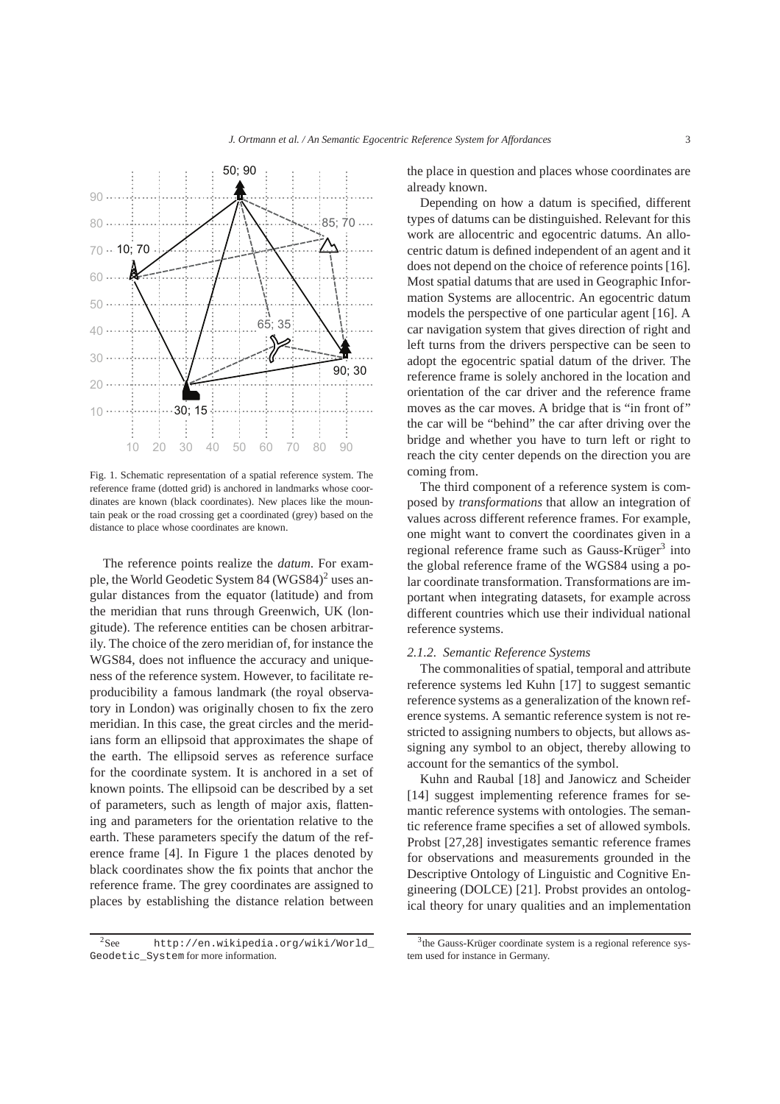

Fig. 1. Schematic representation of a spatial reference system. The reference frame (dotted grid) is anchored in landmarks whose coordinates are known (black coordinates). New places like the mountain peak or the road crossing get a coordinated (grey) based on the distance to place whose coordinates are known.

The reference points realize the *datum*. For example, the World Geodetic System 84 (WGS84)<sup>2</sup> uses angular distances from the equator (latitude) and from the meridian that runs through Greenwich, UK (longitude). The reference entities can be chosen arbitrarily. The choice of the zero meridian of, for instance the WGS84, does not influence the accuracy and uniqueness of the reference system. However, to facilitate reproducibility a famous landmark (the royal observatory in London) was originally chosen to fix the zero meridian. In this case, the great circles and the meridians form an ellipsoid that approximates the shape of the earth. The ellipsoid serves as reference surface for the coordinate system. It is anchored in a set of known points. The ellipsoid can be described by a set of parameters, such as length of major axis, flattening and parameters for the orientation relative to the earth. These parameters specify the datum of the reference frame [4]. In Figure 1 the places denoted by black coordinates show the fix points that anchor the reference frame. The grey coordinates are assigned to places by establishing the distance relation between the place in question and places whose coordinates are already known.

Depending on how a datum is specified, different types of datums can be distinguished. Relevant for this work are allocentric and egocentric datums. An allocentric datum is defined independent of an agent and it does not depend on the choice of reference points [16]. Most spatial datums that are used in Geographic Information Systems are allocentric. An egocentric datum models the perspective of one particular agent [16]. A car navigation system that gives direction of right and left turns from the drivers perspective can be seen to adopt the egocentric spatial datum of the driver. The reference frame is solely anchored in the location and orientation of the car driver and the reference frame moves as the car moves. A bridge that is "in front of" the car will be "behind" the car after driving over the bridge and whether you have to turn left or right to reach the city center depends on the direction you are coming from.

The third component of a reference system is composed by *transformations* that allow an integration of values across different reference frames. For example, one might want to convert the coordinates given in a regional reference frame such as Gauss-Krüger<sup>3</sup> into the global reference frame of the WGS84 using a polar coordinate transformation. Transformations are important when integrating datasets, for example across different countries which use their individual national reference systems.

#### *2.1.2. Semantic Reference Systems*

The commonalities of spatial, temporal and attribute reference systems led Kuhn [17] to suggest semantic reference systems as a generalization of the known reference systems. A semantic reference system is not restricted to assigning numbers to objects, but allows assigning any symbol to an object, thereby allowing to account for the semantics of the symbol.

Kuhn and Raubal [18] and Janowicz and Scheider [14] suggest implementing reference frames for semantic reference systems with ontologies. The semantic reference frame specifies a set of allowed symbols. Probst [27,28] investigates semantic reference frames for observations and measurements grounded in the Descriptive Ontology of Linguistic and Cognitive Engineering (DOLCE) [21]. Probst provides an ontological theory for unary qualities and an implementation

<sup>2</sup>See http://en.wikipedia.org/wiki/World\_ Geodetic\_System for more information.

<sup>&</sup>lt;sup>3</sup>the Gauss-Krüger coordinate system is a regional reference system used for instance in Germany.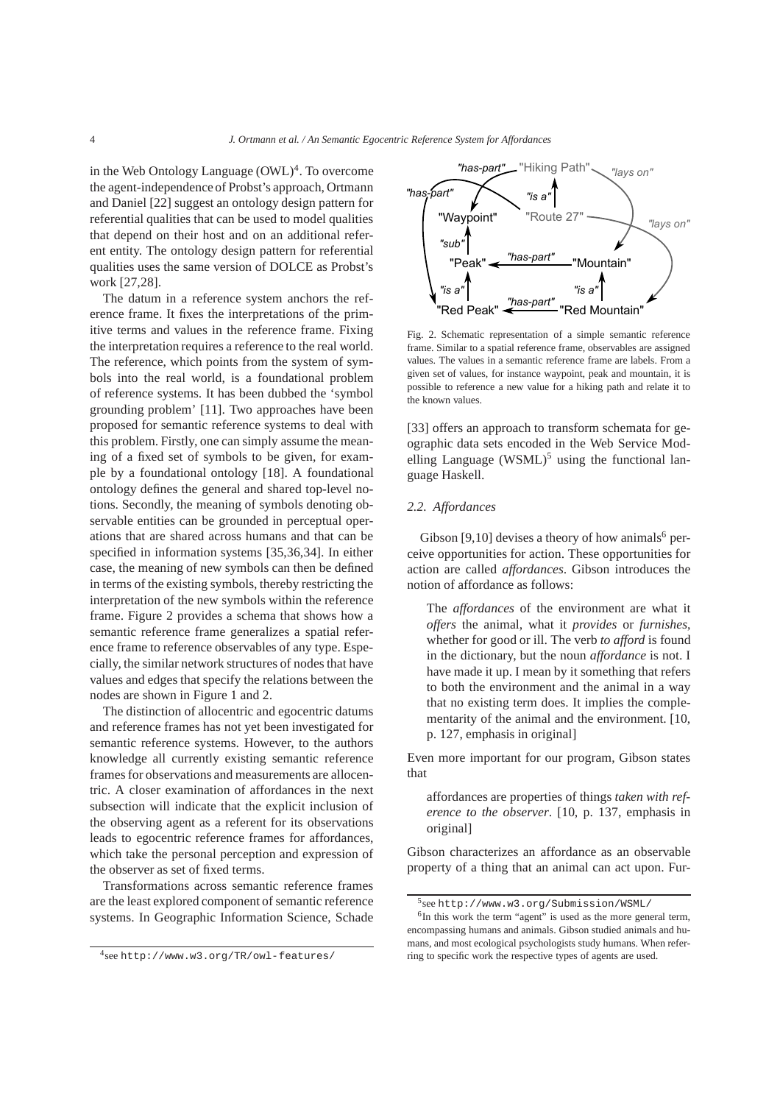in the Web Ontology Language (OWL)<sup>4</sup>. To overcome the agent-independence of Probst's approach, Ortmann and Daniel [22] suggest an ontology design pattern for referential qualities that can be used to model qualities that depend on their host and on an additional referent entity. The ontology design pattern for referential qualities uses the same version of DOLCE as Probst's work [27,28].

The datum in a reference system anchors the reference frame. It fixes the interpretations of the primitive terms and values in the reference frame. Fixing the interpretation requires a reference to the real world. The reference, which points from the system of symbols into the real world, is a foundational problem of reference systems. It has been dubbed the 'symbol grounding problem' [11]. Two approaches have been proposed for semantic reference systems to deal with this problem. Firstly, one can simply assume the meaning of a fixed set of symbols to be given, for example by a foundational ontology [18]. A foundational ontology defines the general and shared top-level notions. Secondly, the meaning of symbols denoting observable entities can be grounded in perceptual operations that are shared across humans and that can be specified in information systems [35,36,34]. In either case, the meaning of new symbols can then be defined in terms of the existing symbols, thereby restricting the interpretation of the new symbols within the reference frame. Figure 2 provides a schema that shows how a semantic reference frame generalizes a spatial reference frame to reference observables of any type. Especially, the similar network structures of nodes that have values and edges that specify the relations between the nodes are shown in Figure 1 and 2.

The distinction of allocentric and egocentric datums and reference frames has not yet been investigated for semantic reference systems. However, to the authors knowledge all currently existing semantic reference frames for observations and measurements are allocentric. A closer examination of affordances in the next subsection will indicate that the explicit inclusion of the observing agent as a referent for its observations leads to egocentric reference frames for affordances, which take the personal perception and expression of the observer as set of fixed terms.

Transformations across semantic reference frames are the least explored component of semantic reference systems. In Geographic Information Science, Schade



Fig. 2. Schematic representation of a simple semantic reference frame. Similar to a spatial reference frame, observables are assigned values. The values in a semantic reference frame are labels. From a given set of values, for instance waypoint, peak and mountain, it is possible to reference a new value for a hiking path and relate it to the known values.

[33] offers an approach to transform schemata for geographic data sets encoded in the Web Service Modelling Language (WSML)<sup>5</sup> using the functional language Haskell.

#### *2.2. Affordances*

Gibson [9,10] devises a theory of how animals<sup>6</sup> perceive opportunities for action. These opportunities for action are called *affordances*. Gibson introduces the notion of affordance as follows:

The *affordances* of the environment are what it *offers* the animal, what it *provides* or *furnishes*, whether for good or ill. The verb *to afford* is found in the dictionary, but the noun *affordance* is not. I have made it up. I mean by it something that refers to both the environment and the animal in a way that no existing term does. It implies the complementarity of the animal and the environment. [10, p. 127, emphasis in original]

Even more important for our program, Gibson states that

affordances are properties of things *taken with reference to the observer*. [10, p. 137, emphasis in original]

Gibson characterizes an affordance as an observable property of a thing that an animal can act upon. Fur-

<sup>4</sup> see http://www.w3.org/TR/owl-features/

<sup>5</sup> see http://www.w3.org/Submission/WSML/

<sup>&</sup>lt;sup>6</sup>In this work the term "agent" is used as the more general term, encompassing humans and animals. Gibson studied animals and humans, and most ecological psychologists study humans. When referring to specific work the respective types of agents are used.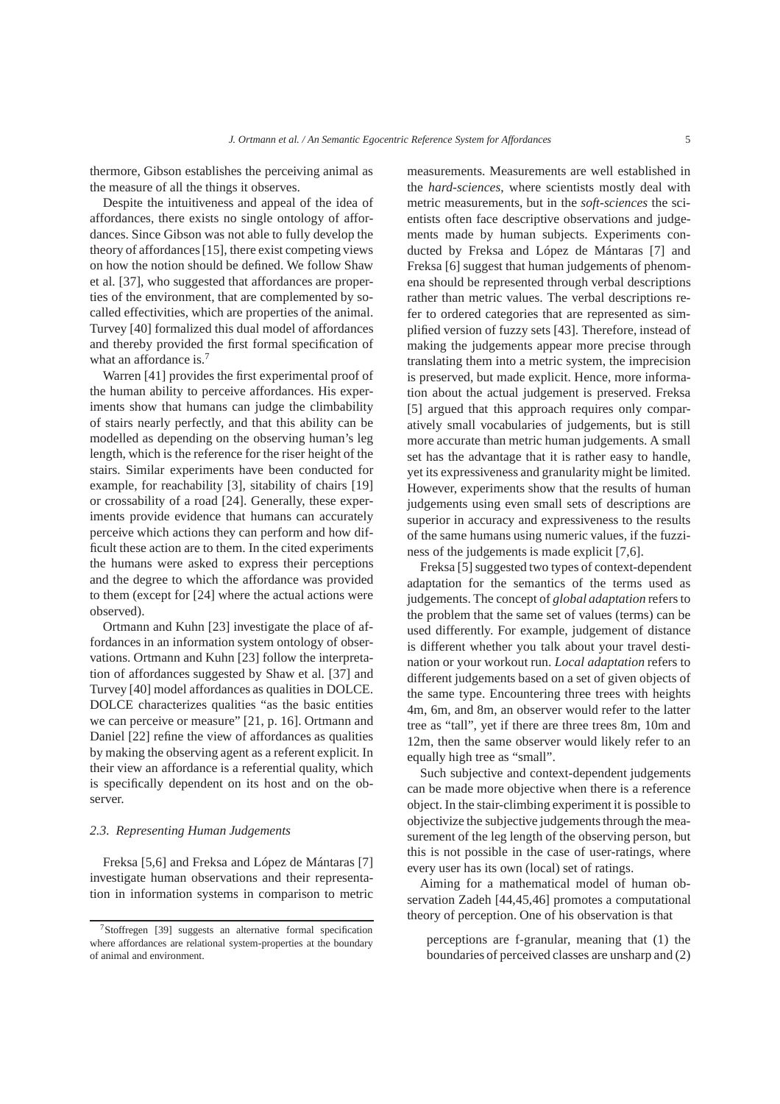thermore, Gibson establishes the perceiving animal as the measure of all the things it observes.

Despite the intuitiveness and appeal of the idea of affordances, there exists no single ontology of affordances. Since Gibson was not able to fully develop the theory of affordances [15], there exist competing views on how the notion should be defined. We follow Shaw et al. [37], who suggested that affordances are properties of the environment, that are complemented by socalled effectivities, which are properties of the animal. Turvey [40] formalized this dual model of affordances and thereby provided the first formal specification of what an affordance is.<sup>7</sup>

Warren [41] provides the first experimental proof of the human ability to perceive affordances. His experiments show that humans can judge the climbability of stairs nearly perfectly, and that this ability can be modelled as depending on the observing human's leg length, which is the reference for the riser height of the stairs. Similar experiments have been conducted for example, for reachability [3], sitability of chairs [19] or crossability of a road [24]. Generally, these experiments provide evidence that humans can accurately perceive which actions they can perform and how difficult these action are to them. In the cited experiments the humans were asked to express their perceptions and the degree to which the affordance was provided to them (except for [24] where the actual actions were observed).

Ortmann and Kuhn [23] investigate the place of affordances in an information system ontology of observations. Ortmann and Kuhn [23] follow the interpretation of affordances suggested by Shaw et al. [37] and Turvey [40] model affordances as qualities in DOLCE. DOLCE characterizes qualities "as the basic entities we can perceive or measure" [21, p. 16]. Ortmann and Daniel [22] refine the view of affordances as qualities by making the observing agent as a referent explicit. In their view an affordance is a referential quality, which is specifically dependent on its host and on the observer.

#### *2.3. Representing Human Judgements*

Freksa [5,6] and Freksa and López de Mántaras [7] investigate human observations and their representation in information systems in comparison to metric measurements. Measurements are well established in the *hard-sciences*, where scientists mostly deal with metric measurements, but in the *soft-sciences* the scientists often face descriptive observations and judgements made by human subjects. Experiments conducted by Freksa and López de Mántaras [7] and Freksa [6] suggest that human judgements of phenomena should be represented through verbal descriptions rather than metric values. The verbal descriptions refer to ordered categories that are represented as simplified version of fuzzy sets [43]. Therefore, instead of making the judgements appear more precise through translating them into a metric system, the imprecision is preserved, but made explicit. Hence, more information about the actual judgement is preserved. Freksa [5] argued that this approach requires only comparatively small vocabularies of judgements, but is still more accurate than metric human judgements. A small set has the advantage that it is rather easy to handle, yet its expressiveness and granularity might be limited. However, experiments show that the results of human judgements using even small sets of descriptions are superior in accuracy and expressiveness to the results of the same humans using numeric values, if the fuzziness of the judgements is made explicit [7,6].

Freksa [5] suggested two types of context-dependent adaptation for the semantics of the terms used as judgements. The concept of *global adaptation* refers to the problem that the same set of values (terms) can be used differently. For example, judgement of distance is different whether you talk about your travel destination or your workout run. *Local adaptation* refers to different judgements based on a set of given objects of the same type. Encountering three trees with heights 4m, 6m, and 8m, an observer would refer to the latter tree as "tall", yet if there are three trees 8m, 10m and 12m, then the same observer would likely refer to an equally high tree as "small".

Such subjective and context-dependent judgements can be made more objective when there is a reference object. In the stair-climbing experiment it is possible to objectivize the subjective judgements through the measurement of the leg length of the observing person, but this is not possible in the case of user-ratings, where every user has its own (local) set of ratings.

Aiming for a mathematical model of human observation Zadeh [44,45,46] promotes a computational theory of perception. One of his observation is that

perceptions are f-granular, meaning that (1) the boundaries of perceived classes are unsharp and (2)

<sup>7</sup>Stoffregen [39] suggests an alternative formal specification where affordances are relational system-properties at the boundary of animal and environment.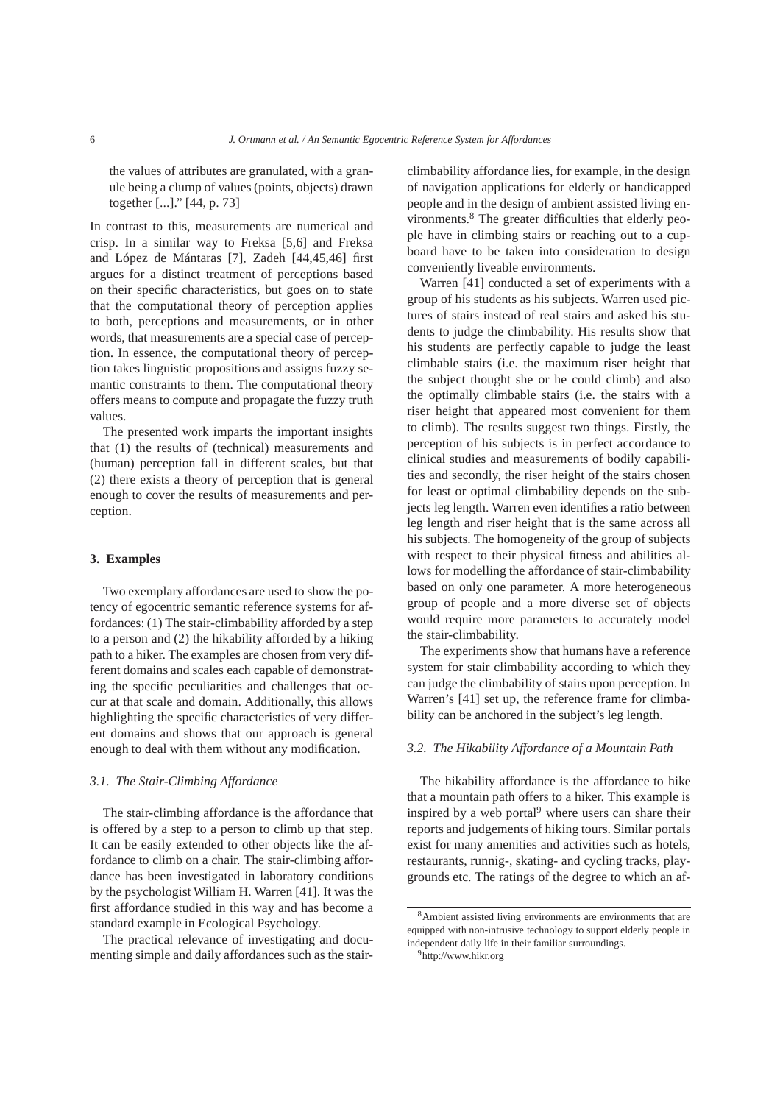the values of attributes are granulated, with a granule being a clump of values (points, objects) drawn together [...]." [44, p. 73]

In contrast to this, measurements are numerical and crisp. In a similar way to Freksa [5,6] and Freksa and López de Mántaras [7], Zadeh [44,45,46] first argues for a distinct treatment of perceptions based on their specific characteristics, but goes on to state that the computational theory of perception applies to both, perceptions and measurements, or in other words, that measurements are a special case of perception. In essence, the computational theory of perception takes linguistic propositions and assigns fuzzy semantic constraints to them. The computational theory offers means to compute and propagate the fuzzy truth values.

The presented work imparts the important insights that (1) the results of (technical) measurements and (human) perception fall in different scales, but that (2) there exists a theory of perception that is general enough to cover the results of measurements and perception.

#### **3. Examples**

Two exemplary affordances are used to show the potency of egocentric semantic reference systems for affordances: (1) The stair-climbability afforded by a step to a person and (2) the hikability afforded by a hiking path to a hiker. The examples are chosen from very different domains and scales each capable of demonstrating the specific peculiarities and challenges that occur at that scale and domain. Additionally, this allows highlighting the specific characteristics of very different domains and shows that our approach is general enough to deal with them without any modification.

#### *3.1. The Stair-Climbing Affordance*

The stair-climbing affordance is the affordance that is offered by a step to a person to climb up that step. It can be easily extended to other objects like the affordance to climb on a chair. The stair-climbing affordance has been investigated in laboratory conditions by the psychologist William H. Warren [41]. It was the first affordance studied in this way and has become a standard example in Ecological Psychology.

The practical relevance of investigating and documenting simple and daily affordances such as the stairclimbability affordance lies, for example, in the design of navigation applications for elderly or handicapped people and in the design of ambient assisted living environments.<sup>8</sup> The greater difficulties that elderly people have in climbing stairs or reaching out to a cupboard have to be taken into consideration to design conveniently liveable environments.

Warren [41] conducted a set of experiments with a group of his students as his subjects. Warren used pictures of stairs instead of real stairs and asked his students to judge the climbability. His results show that his students are perfectly capable to judge the least climbable stairs (i.e. the maximum riser height that the subject thought she or he could climb) and also the optimally climbable stairs (i.e. the stairs with a riser height that appeared most convenient for them to climb). The results suggest two things. Firstly, the perception of his subjects is in perfect accordance to clinical studies and measurements of bodily capabilities and secondly, the riser height of the stairs chosen for least or optimal climbability depends on the subjects leg length. Warren even identifies a ratio between leg length and riser height that is the same across all his subjects. The homogeneity of the group of subjects with respect to their physical fitness and abilities allows for modelling the affordance of stair-climbability based on only one parameter. A more heterogeneous group of people and a more diverse set of objects would require more parameters to accurately model the stair-climbability.

The experiments show that humans have a reference system for stair climbability according to which they can judge the climbability of stairs upon perception. In Warren's [41] set up, the reference frame for climbability can be anchored in the subject's leg length.

#### *3.2. The Hikability Affordance of a Mountain Path*

The hikability affordance is the affordance to hike that a mountain path offers to a hiker. This example is inspired by a web portal $9$  where users can share their reports and judgements of hiking tours. Similar portals exist for many amenities and activities such as hotels, restaurants, runnig-, skating- and cycling tracks, playgrounds etc. The ratings of the degree to which an af-

<sup>8</sup>Ambient assisted living environments are environments that are equipped with non-intrusive technology to support elderly people in independent daily life in their familiar surroundings.

<sup>9</sup>http://www.hikr.org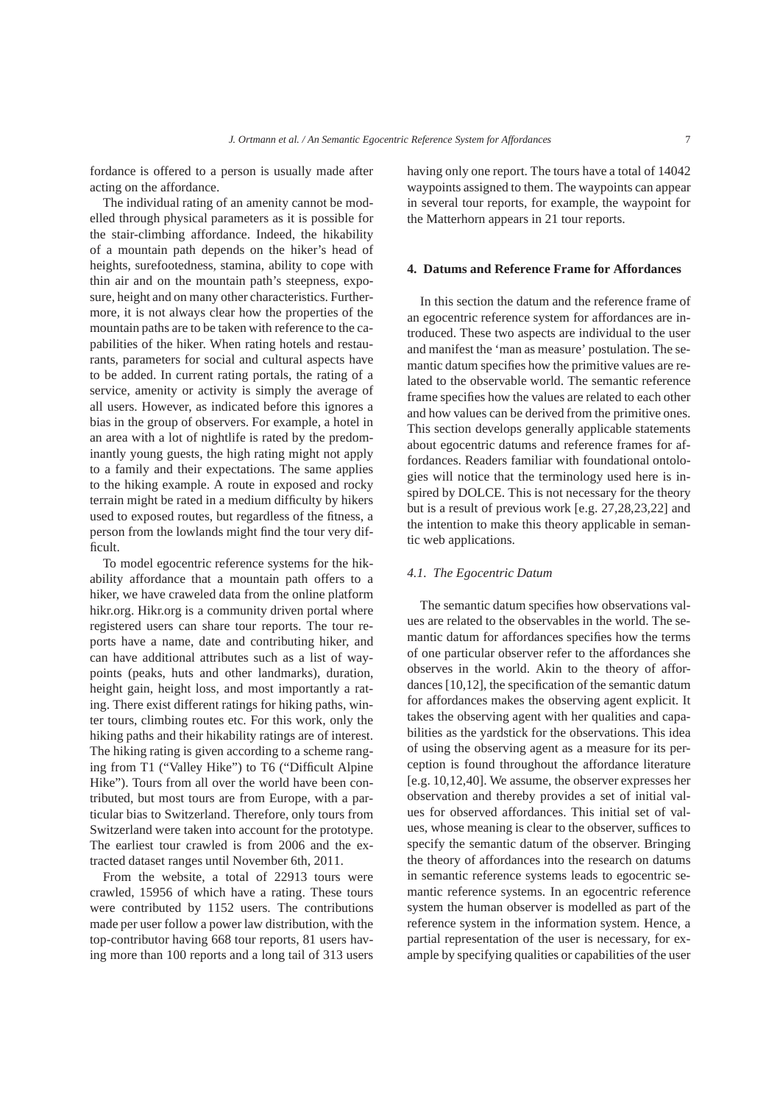fordance is offered to a person is usually made after acting on the affordance.

The individual rating of an amenity cannot be modelled through physical parameters as it is possible for the stair-climbing affordance. Indeed, the hikability of a mountain path depends on the hiker's head of heights, surefootedness, stamina, ability to cope with thin air and on the mountain path's steepness, exposure, height and on many other characteristics. Furthermore, it is not always clear how the properties of the mountain paths are to be taken with reference to the capabilities of the hiker. When rating hotels and restaurants, parameters for social and cultural aspects have to be added. In current rating portals, the rating of a service, amenity or activity is simply the average of all users. However, as indicated before this ignores a bias in the group of observers. For example, a hotel in an area with a lot of nightlife is rated by the predominantly young guests, the high rating might not apply to a family and their expectations. The same applies to the hiking example. A route in exposed and rocky terrain might be rated in a medium difficulty by hikers used to exposed routes, but regardless of the fitness, a person from the lowlands might find the tour very difficult.

To model egocentric reference systems for the hikability affordance that a mountain path offers to a hiker, we have craweled data from the online platform hikr.org. Hikr.org is a community driven portal where registered users can share tour reports. The tour reports have a name, date and contributing hiker, and can have additional attributes such as a list of waypoints (peaks, huts and other landmarks), duration, height gain, height loss, and most importantly a rating. There exist different ratings for hiking paths, winter tours, climbing routes etc. For this work, only the hiking paths and their hikability ratings are of interest. The hiking rating is given according to a scheme ranging from T1 ("Valley Hike") to T6 ("Difficult Alpine Hike"). Tours from all over the world have been contributed, but most tours are from Europe, with a particular bias to Switzerland. Therefore, only tours from Switzerland were taken into account for the prototype. The earliest tour crawled is from 2006 and the extracted dataset ranges until November 6th, 2011.

From the website, a total of 22913 tours were crawled, 15956 of which have a rating. These tours were contributed by 1152 users. The contributions made per user follow a power law distribution, with the top-contributor having 668 tour reports, 81 users having more than 100 reports and a long tail of 313 users having only one report. The tours have a total of 14042 waypoints assigned to them. The waypoints can appear in several tour reports, for example, the waypoint for the Matterhorn appears in 21 tour reports.

#### **4. Datums and Reference Frame for Affordances**

In this section the datum and the reference frame of an egocentric reference system for affordances are introduced. These two aspects are individual to the user and manifest the 'man as measure' postulation. The semantic datum specifies how the primitive values are related to the observable world. The semantic reference frame specifies how the values are related to each other and how values can be derived from the primitive ones. This section develops generally applicable statements about egocentric datums and reference frames for affordances. Readers familiar with foundational ontologies will notice that the terminology used here is inspired by DOLCE. This is not necessary for the theory but is a result of previous work [e.g. 27,28,23,22] and the intention to make this theory applicable in semantic web applications.

#### *4.1. The Egocentric Datum*

The semantic datum specifies how observations values are related to the observables in the world. The semantic datum for affordances specifies how the terms of one particular observer refer to the affordances she observes in the world. Akin to the theory of affordances [10,12], the specification of the semantic datum for affordances makes the observing agent explicit. It takes the observing agent with her qualities and capabilities as the yardstick for the observations. This idea of using the observing agent as a measure for its perception is found throughout the affordance literature [e.g. 10,12,40]. We assume, the observer expresses her observation and thereby provides a set of initial values for observed affordances. This initial set of values, whose meaning is clear to the observer, suffices to specify the semantic datum of the observer. Bringing the theory of affordances into the research on datums in semantic reference systems leads to egocentric semantic reference systems. In an egocentric reference system the human observer is modelled as part of the reference system in the information system. Hence, a partial representation of the user is necessary, for example by specifying qualities or capabilities of the user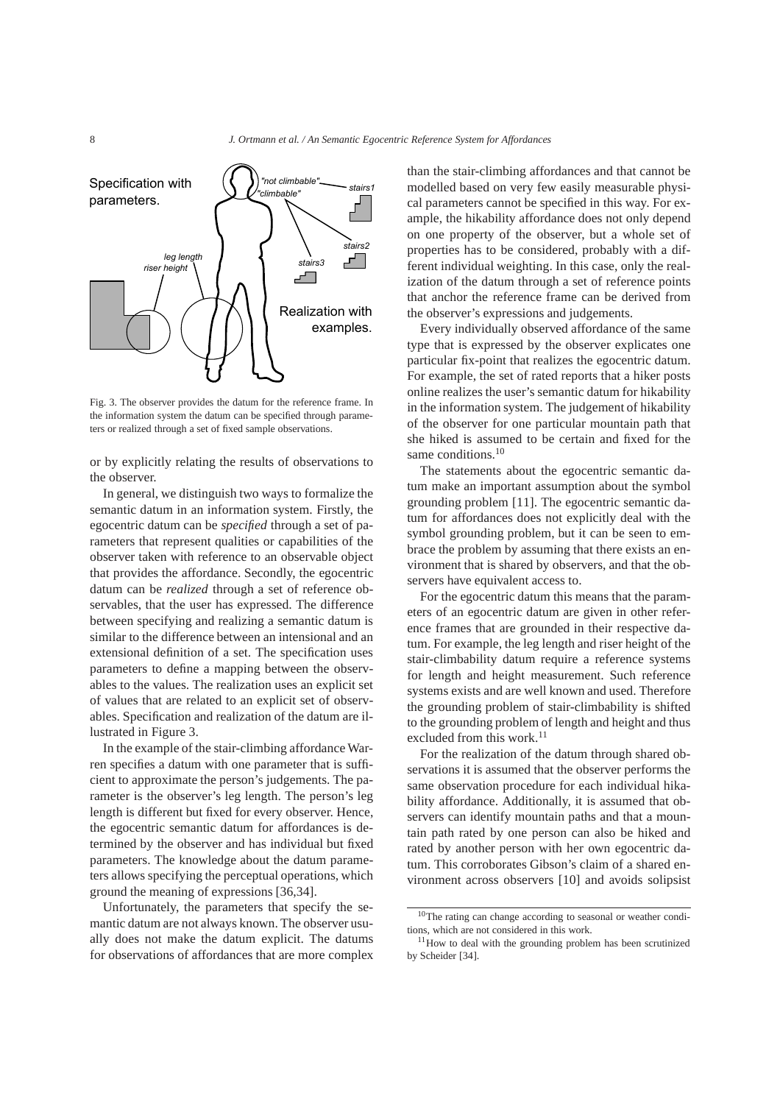

Fig. 3. The observer provides the datum for the reference frame. In the information system the datum can be specified through parameters or realized through a set of fixed sample observations.

or by explicitly relating the results of observations to the observer.

In general, we distinguish two ways to formalize the semantic datum in an information system. Firstly, the egocentric datum can be *specified* through a set of parameters that represent qualities or capabilities of the observer taken with reference to an observable object that provides the affordance. Secondly, the egocentric datum can be *realized* through a set of reference observables, that the user has expressed. The difference between specifying and realizing a semantic datum is similar to the difference between an intensional and an extensional definition of a set. The specification uses parameters to define a mapping between the observables to the values. The realization uses an explicit set of values that are related to an explicit set of observables. Specification and realization of the datum are illustrated in Figure 3.

In the example of the stair-climbing affordance Warren specifies a datum with one parameter that is sufficient to approximate the person's judgements. The parameter is the observer's leg length. The person's leg length is different but fixed for every observer. Hence, the egocentric semantic datum for affordances is determined by the observer and has individual but fixed parameters. The knowledge about the datum parameters allows specifying the perceptual operations, which ground the meaning of expressions [36,34].

Unfortunately, the parameters that specify the semantic datum are not always known. The observer usually does not make the datum explicit. The datums for observations of affordances that are more complex than the stair-climbing affordances and that cannot be modelled based on very few easily measurable physical parameters cannot be specified in this way. For example, the hikability affordance does not only depend on one property of the observer, but a whole set of properties has to be considered, probably with a different individual weighting. In this case, only the realization of the datum through a set of reference points that anchor the reference frame can be derived from the observer's expressions and judgements.

Every individually observed affordance of the same type that is expressed by the observer explicates one particular fix-point that realizes the egocentric datum. For example, the set of rated reports that a hiker posts online realizes the user's semantic datum for hikability in the information system. The judgement of hikability of the observer for one particular mountain path that she hiked is assumed to be certain and fixed for the same conditions.<sup>10</sup>

The statements about the egocentric semantic datum make an important assumption about the symbol grounding problem [11]. The egocentric semantic datum for affordances does not explicitly deal with the symbol grounding problem, but it can be seen to embrace the problem by assuming that there exists an environment that is shared by observers, and that the observers have equivalent access to.

For the egocentric datum this means that the parameters of an egocentric datum are given in other reference frames that are grounded in their respective datum. For example, the leg length and riser height of the stair-climbability datum require a reference systems for length and height measurement. Such reference systems exists and are well known and used. Therefore the grounding problem of stair-climbability is shifted to the grounding problem of length and height and thus excluded from this work. $11$ 

For the realization of the datum through shared observations it is assumed that the observer performs the same observation procedure for each individual hikability affordance. Additionally, it is assumed that observers can identify mountain paths and that a mountain path rated by one person can also be hiked and rated by another person with her own egocentric datum. This corroborates Gibson's claim of a shared environment across observers [10] and avoids solipsist

 $10$ The rating can change according to seasonal or weather conditions, which are not considered in this work.

 $11$ How to deal with the grounding problem has been scrutinized by Scheider [34].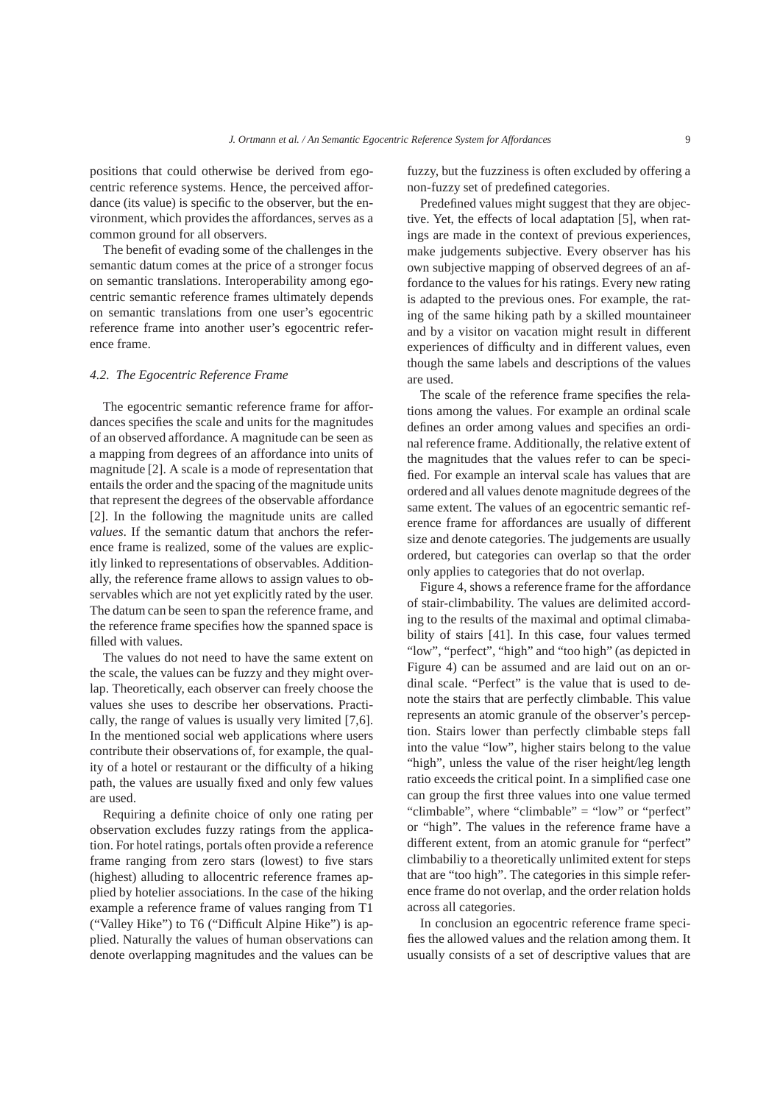positions that could otherwise be derived from egocentric reference systems. Hence, the perceived affordance (its value) is specific to the observer, but the environment, which provides the affordances, serves as a common ground for all observers.

The benefit of evading some of the challenges in the semantic datum comes at the price of a stronger focus on semantic translations. Interoperability among egocentric semantic reference frames ultimately depends on semantic translations from one user's egocentric reference frame into another user's egocentric reference frame.

#### *4.2. The Egocentric Reference Frame*

The egocentric semantic reference frame for affordances specifies the scale and units for the magnitudes of an observed affordance. A magnitude can be seen as a mapping from degrees of an affordance into units of magnitude [2]. A scale is a mode of representation that entails the order and the spacing of the magnitude units that represent the degrees of the observable affordance [2]. In the following the magnitude units are called *values*. If the semantic datum that anchors the reference frame is realized, some of the values are explicitly linked to representations of observables. Additionally, the reference frame allows to assign values to observables which are not yet explicitly rated by the user. The datum can be seen to span the reference frame, and the reference frame specifies how the spanned space is filled with values.

The values do not need to have the same extent on the scale, the values can be fuzzy and they might overlap. Theoretically, each observer can freely choose the values she uses to describe her observations. Practically, the range of values is usually very limited [7,6]. In the mentioned social web applications where users contribute their observations of, for example, the quality of a hotel or restaurant or the difficulty of a hiking path, the values are usually fixed and only few values are used.

Requiring a definite choice of only one rating per observation excludes fuzzy ratings from the application. For hotel ratings, portals often provide a reference frame ranging from zero stars (lowest) to five stars (highest) alluding to allocentric reference frames applied by hotelier associations. In the case of the hiking example a reference frame of values ranging from T1 ("Valley Hike") to T6 ("Difficult Alpine Hike") is applied. Naturally the values of human observations can denote overlapping magnitudes and the values can be fuzzy, but the fuzziness is often excluded by offering a non-fuzzy set of predefined categories.

Predefined values might suggest that they are objective. Yet, the effects of local adaptation [5], when ratings are made in the context of previous experiences, make judgements subjective. Every observer has his own subjective mapping of observed degrees of an affordance to the values for his ratings. Every new rating is adapted to the previous ones. For example, the rating of the same hiking path by a skilled mountaineer and by a visitor on vacation might result in different experiences of difficulty and in different values, even though the same labels and descriptions of the values are used.

The scale of the reference frame specifies the relations among the values. For example an ordinal scale defines an order among values and specifies an ordinal reference frame. Additionally, the relative extent of the magnitudes that the values refer to can be specified. For example an interval scale has values that are ordered and all values denote magnitude degrees of the same extent. The values of an egocentric semantic reference frame for affordances are usually of different size and denote categories. The judgements are usually ordered, but categories can overlap so that the order only applies to categories that do not overlap.

Figure 4, shows a reference frame for the affordance of stair-climbability. The values are delimited according to the results of the maximal and optimal climabability of stairs [41]. In this case, four values termed "low", "perfect", "high" and "too high" (as depicted in Figure 4) can be assumed and are laid out on an ordinal scale. "Perfect" is the value that is used to denote the stairs that are perfectly climbable. This value represents an atomic granule of the observer's perception. Stairs lower than perfectly climbable steps fall into the value "low", higher stairs belong to the value "high", unless the value of the riser height/leg length ratio exceeds the critical point. In a simplified case one can group the first three values into one value termed "climbable", where "climbable" = "low" or "perfect" or "high". The values in the reference frame have a different extent, from an atomic granule for "perfect" climbabiliy to a theoretically unlimited extent for steps that are "too high". The categories in this simple reference frame do not overlap, and the order relation holds across all categories.

In conclusion an egocentric reference frame specifies the allowed values and the relation among them. It usually consists of a set of descriptive values that are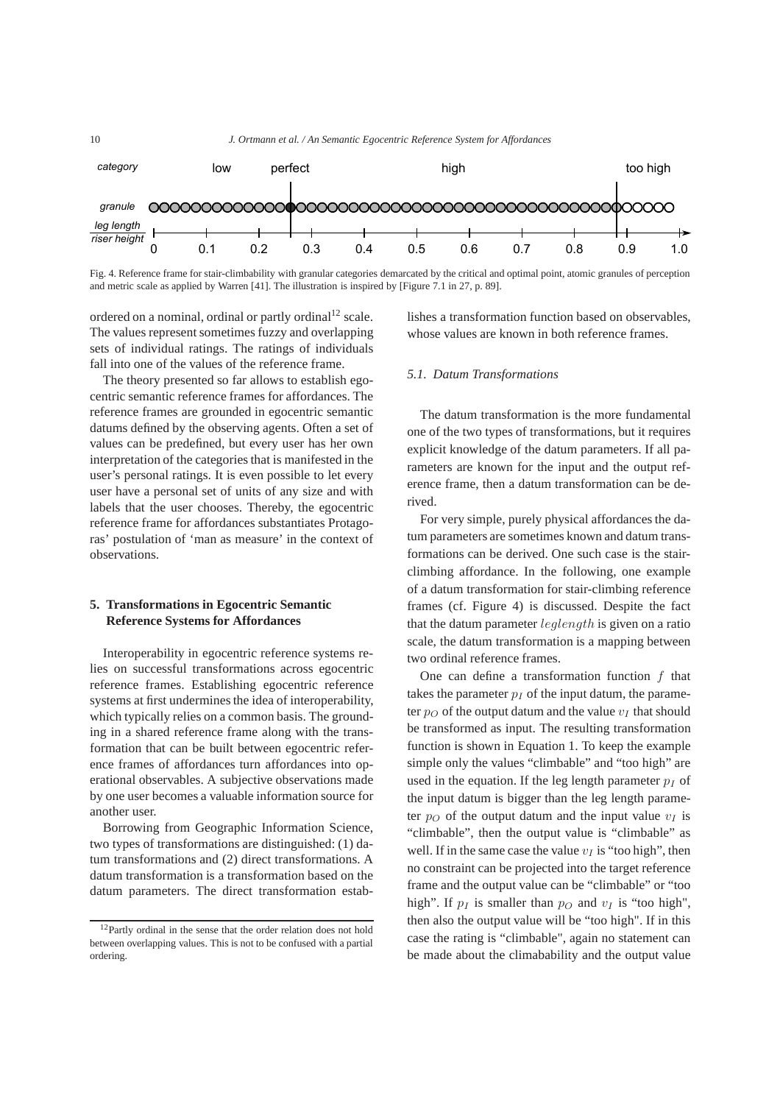

Fig. 4. Reference frame for stair-climbability with granular categories demarcated by the critical and optimal point, atomic granules of perception and metric scale as applied by Warren [41]. The illustration is inspired by [Figure 7.1 in 27, p. 89].

ordered on a nominal, ordinal or partly ordinal<sup>12</sup> scale. The values represent sometimes fuzzy and overlapping sets of individual ratings. The ratings of individuals fall into one of the values of the reference frame.

The theory presented so far allows to establish egocentric semantic reference frames for affordances. The reference frames are grounded in egocentric semantic datums defined by the observing agents. Often a set of values can be predefined, but every user has her own interpretation of the categories that is manifested in the user's personal ratings. It is even possible to let every user have a personal set of units of any size and with labels that the user chooses. Thereby, the egocentric reference frame for affordances substantiates Protagoras' postulation of 'man as measure' in the context of observations.

# **5. Transformations in Egocentric Semantic Reference Systems for Affordances**

Interoperability in egocentric reference systems relies on successful transformations across egocentric reference frames. Establishing egocentric reference systems at first undermines the idea of interoperability, which typically relies on a common basis. The grounding in a shared reference frame along with the transformation that can be built between egocentric reference frames of affordances turn affordances into operational observables. A subjective observations made by one user becomes a valuable information source for another user.

Borrowing from Geographic Information Science, two types of transformations are distinguished: (1) datum transformations and (2) direct transformations. A datum transformation is a transformation based on the datum parameters. The direct transformation establishes a transformation function based on observables, whose values are known in both reference frames.

#### *5.1. Datum Transformations*

The datum transformation is the more fundamental one of the two types of transformations, but it requires explicit knowledge of the datum parameters. If all parameters are known for the input and the output reference frame, then a datum transformation can be derived.

For very simple, purely physical affordances the datum parameters are sometimes known and datum transformations can be derived. One such case is the stairclimbing affordance. In the following, one example of a datum transformation for stair-climbing reference frames (cf. Figure 4) is discussed. Despite the fact that the datum parameter leglength is given on a ratio scale, the datum transformation is a mapping between two ordinal reference frames.

One can define a transformation function  $f$  that takes the parameter  $p_I$  of the input datum, the parameter  $p_O$  of the output datum and the value  $v_I$  that should be transformed as input. The resulting transformation function is shown in Equation 1. To keep the example simple only the values "climbable" and "too high" are used in the equation. If the leg length parameter  $p_I$  of the input datum is bigger than the leg length parameter  $p<sub>O</sub>$  of the output datum and the input value  $v<sub>I</sub>$  is "climbable", then the output value is "climbable" as well. If in the same case the value  $v_I$  is "too high", then no constraint can be projected into the target reference frame and the output value can be "climbable" or "too high". If  $p_I$  is smaller than  $p_O$  and  $v_I$  is "too high", then also the output value will be "too high". If in this case the rating is "climbable", again no statement can be made about the climabability and the output value

<sup>12</sup>Partly ordinal in the sense that the order relation does not hold between overlapping values. This is not to be confused with a partial ordering.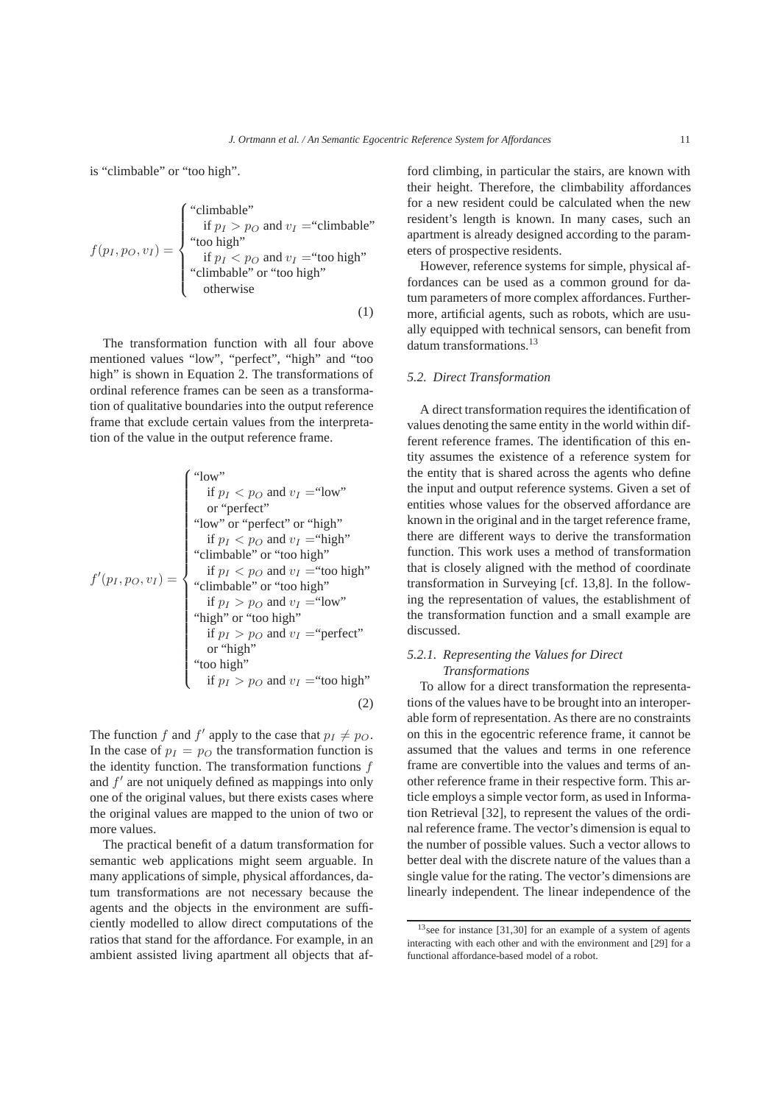is "climbable" or "too high".

$$
f(p_I, p_O, v_I) = \begin{cases} \text{``climbable''} \\ \text{if } p_I > p_O \text{ and } v_I = \text{``climbable''} \\ \text{``too high''} \\ \text{if } p_I < p_O \text{ and } v_I = \text{``too high''} \\ \text{``climbable'' or "too high''} \\ \text{otherwise} \end{cases}
$$
(1)

The transformation function with all four above mentioned values "low", "perfect", "high" and "too high" is shown in Equation 2. The transformations of ordinal reference frames can be seen as a transformation of qualitative boundaries into the output reference frame that exclude certain values from the interpretation of the value in the output reference frame.

$$
f'(p_I, p_O, v_I) = \begin{cases} \n\text{``low''} & \text{if } p_I < p_O \text{ and } v_I = \text{``low''} \\ \n\text{``low'' or "perfect''} & \text{``high''} \\ \n\text{``limbable'' or "too high''} \\ \n\text{``climbable'' or "too high''} \\ \n\text{``climbable'' or "too high''} \\ \n\text{``climbable'' or "too high''} \\ \n\text{``limbable'' or "too high''} \\ \n\text{``f } p_I > p_O \text{ and } v_I = \text{``power''} \\ \n\text{``right'' or "too high''} \\ \n\text{``too high''} \\ \n\text{``too high''} \\ \n\text{``too high''} \\ \n\text{``too high''} \\ \n\text{``too high''} \end{cases} \tag{2}
$$

The function f and f' apply to the case that  $p_I \neq p_O$ . In the case of  $p_I = p_O$  the transformation function is the identity function. The transformation functions  $f$ and  $f'$  are not uniquely defined as mappings into only one of the original values, but there exists cases where the original values are mapped to the union of two or more values.

The practical benefit of a datum transformation for semantic web applications might seem arguable. In many applications of simple, physical affordances, datum transformations are not necessary because the agents and the objects in the environment are sufficiently modelled to allow direct computations of the ratios that stand for the affordance. For example, in an ambient assisted living apartment all objects that afford climbing, in particular the stairs, are known with their height. Therefore, the climbability affordances for a new resident could be calculated when the new resident's length is known. In many cases, such an apartment is already designed according to the parameters of prospective residents.

However, reference systems for simple, physical affordances can be used as a common ground for datum parameters of more complex affordances. Furthermore, artificial agents, such as robots, which are usually equipped with technical sensors, can benefit from datum transformations.<sup>13</sup>

#### *5.2. Direct Transformation*

A direct transformation requires the identification of values denoting the same entity in the world within different reference frames. The identification of this entity assumes the existence of a reference system for the entity that is shared across the agents who define the input and output reference systems. Given a set of entities whose values for the observed affordance are known in the original and in the target reference frame, there are different ways to derive the transformation function. This work uses a method of transformation that is closely aligned with the method of coordinate transformation in Surveying [cf. 13,8]. In the following the representation of values, the establishment of the transformation function and a small example are discussed.

# *5.2.1. Representing the Values for Direct Transformations*

To allow for a direct transformation the representations of the values have to be brought into an interoperable form of representation. As there are no constraints on this in the egocentric reference frame, it cannot be assumed that the values and terms in one reference frame are convertible into the values and terms of another reference frame in their respective form. This article employs a simple vector form, as used in Information Retrieval [32], to represent the values of the ordinal reference frame. The vector's dimension is equal to the number of possible values. Such a vector allows to better deal with the discrete nature of the values than a single value for the rating. The vector's dimensions are linearly independent. The linear independence of the

<sup>&</sup>lt;sup>13</sup> see for instance [31,30] for an example of a system of agents interacting with each other and with the environment and [29] for a functional affordance-based model of a robot.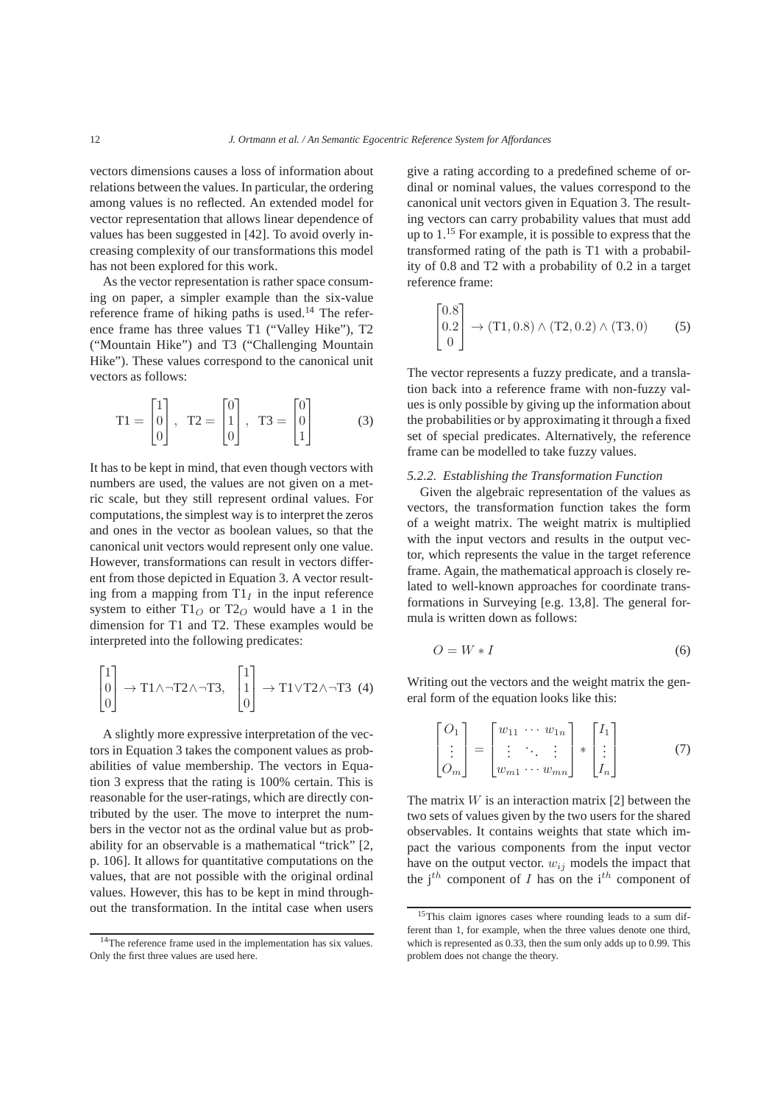vectors dimensions causes a loss of information about relations between the values. In particular, the ordering among values is no reflected. An extended model for vector representation that allows linear dependence of values has been suggested in [42]. To avoid overly increasing complexity of our transformations this model has not been explored for this work.

As the vector representation is rather space consuming on paper, a simpler example than the six-value reference frame of hiking paths is used.<sup>14</sup> The reference frame has three values T1 ("Valley Hike"), T2 ("Mountain Hike") and T3 ("Challenging Mountain Hike"). These values correspond to the canonical unit vectors as follows:

$$
\mathbf{T1} = \begin{bmatrix} 1 \\ 0 \\ 0 \end{bmatrix}, \quad \mathbf{T2} = \begin{bmatrix} 0 \\ 1 \\ 0 \end{bmatrix}, \quad \mathbf{T3} = \begin{bmatrix} 0 \\ 0 \\ 1 \end{bmatrix} \tag{3}
$$

It has to be kept in mind, that even though vectors with numbers are used, the values are not given on a metric scale, but they still represent ordinal values. For computations, the simplest way is to interpret the zeros and ones in the vector as boolean values, so that the canonical unit vectors would represent only one value. However, transformations can result in vectors different from those depicted in Equation 3. A vector resulting from a mapping from  $T1_I$  in the input reference system to either  $T1<sub>O</sub>$  or  $T2<sub>O</sub>$  would have a 1 in the dimension for T1 and T2. These examples would be interpreted into the following predicates:

$$
\begin{bmatrix} 1 \\ 0 \\ 0 \end{bmatrix} \rightarrow T1 \land \neg T2 \land \neg T3, \quad \begin{bmatrix} 1 \\ 1 \\ 0 \end{bmatrix} \rightarrow T1 \lor T2 \land \neg T3 \quad (4)
$$

A slightly more expressive interpretation of the vectors in Equation 3 takes the component values as probabilities of value membership. The vectors in Equation 3 express that the rating is 100% certain. This is reasonable for the user-ratings, which are directly contributed by the user. The move to interpret the numbers in the vector not as the ordinal value but as probability for an observable is a mathematical "trick" [2, p. 106]. It allows for quantitative computations on the values, that are not possible with the original ordinal values. However, this has to be kept in mind throughout the transformation. In the intital case when users

give a rating according to a predefined scheme of ordinal or nominal values, the values correspond to the canonical unit vectors given in Equation 3. The resulting vectors can carry probability values that must add up to 1.<sup>15</sup> For example, it is possible to express that the transformed rating of the path is T1 with a probability of 0.8 and T2 with a probability of 0.2 in a target reference frame:

$$
\begin{bmatrix} 0.8\\0.2\\0 \end{bmatrix} \to (T1, 0.8) \land (T2, 0.2) \land (T3, 0) \tag{5}
$$

The vector represents a fuzzy predicate, and a translation back into a reference frame with non-fuzzy values is only possible by giving up the information about the probabilities or by approximating it through a fixed set of special predicates. Alternatively, the reference frame can be modelled to take fuzzy values.

#### *5.2.2. Establishing the Transformation Function*

Given the algebraic representation of the values as vectors, the transformation function takes the form of a weight matrix. The weight matrix is multiplied with the input vectors and results in the output vector, which represents the value in the target reference frame. Again, the mathematical approach is closely related to well-known approaches for coordinate transformations in Surveying [e.g. 13,8]. The general formula is written down as follows:

$$
O = W * I \tag{6}
$$

Writing out the vectors and the weight matrix the general form of the equation looks like this:

$$
\begin{bmatrix} O_1 \\ \vdots \\ O_m \end{bmatrix} = \begin{bmatrix} w_{11} & \cdots & w_{1n} \\ \vdots & \ddots & \vdots \\ w_{m1} & \cdots & w_{mn} \end{bmatrix} * \begin{bmatrix} I_1 \\ \vdots \\ I_n \end{bmatrix}
$$
 (7)

The matrix  $W$  is an interaction matrix [2] between the two sets of values given by the two users for the shared observables. It contains weights that state which impact the various components from the input vector have on the output vector.  $w_{ij}$  models the impact that the  $j<sup>th</sup>$  component of I has on the  $i<sup>th</sup>$  component of

<sup>&</sup>lt;sup>14</sup>The reference frame used in the implementation has six values. Only the first three values are used here.

<sup>&</sup>lt;sup>15</sup>This claim ignores cases where rounding leads to a sum different than 1, for example, when the three values denote one third, which is represented as 0.33, then the sum only adds up to 0.99. This problem does not change the theory.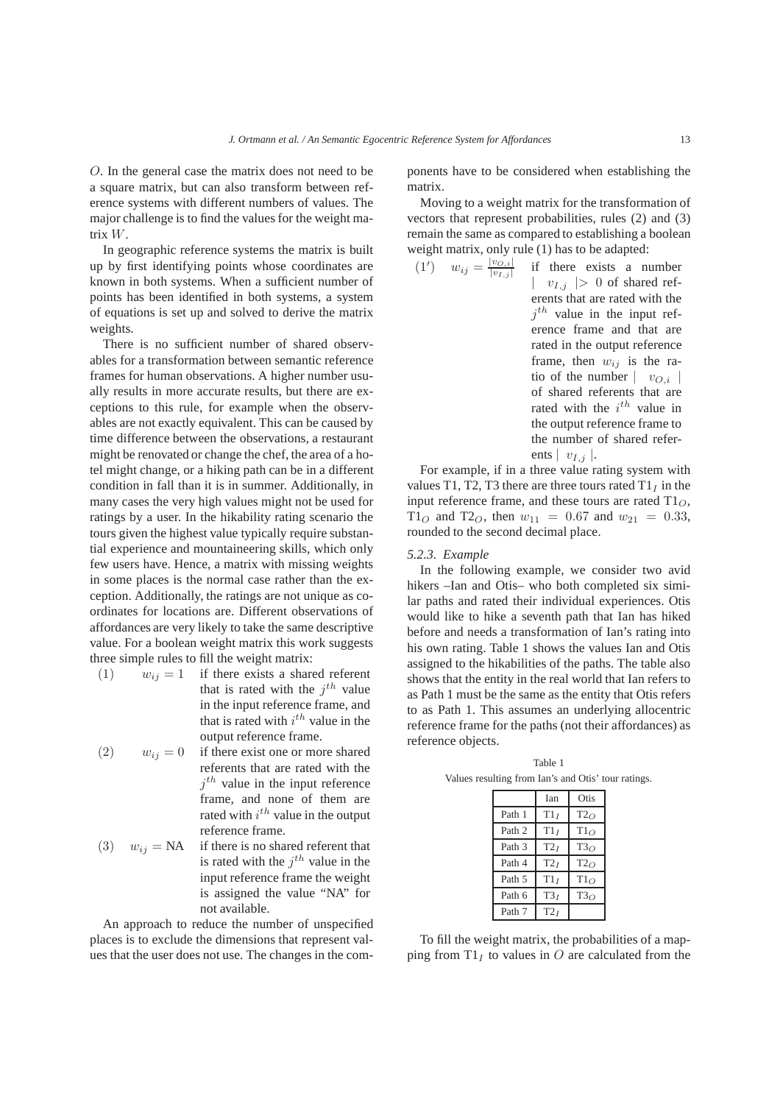O. In the general case the matrix does not need to be a square matrix, but can also transform between reference systems with different numbers of values. The major challenge is to find the values for the weight matrix W.

In geographic reference systems the matrix is built up by first identifying points whose coordinates are known in both systems. When a sufficient number of points has been identified in both systems, a system of equations is set up and solved to derive the matrix weights.

There is no sufficient number of shared observables for a transformation between semantic reference frames for human observations. A higher number usually results in more accurate results, but there are exceptions to this rule, for example when the observables are not exactly equivalent. This can be caused by time difference between the observations, a restaurant might be renovated or change the chef, the area of a hotel might change, or a hiking path can be in a different condition in fall than it is in summer. Additionally, in many cases the very high values might not be used for ratings by a user. In the hikability rating scenario the tours given the highest value typically require substantial experience and mountaineering skills, which only few users have. Hence, a matrix with missing weights in some places is the normal case rather than the exception. Additionally, the ratings are not unique as coordinates for locations are. Different observations of affordances are very likely to take the same descriptive value. For a boolean weight matrix this work suggests three simple rules to fill the weight matrix:

- (1)  $w_{ij} = 1$  if there exists a shared referent that is rated with the  $j^{th}$  value in the input reference frame, and that is rated with  $i^{th}$  value in the output reference frame.
- (2)  $w_{ij} = 0$  if there exist one or more shared referents that are rated with the  $j<sup>th</sup>$  value in the input reference frame, and none of them are rated with  $i^{th}$  value in the output reference frame.

(3)  $w_{ij} = NA$  if there is no shared referent that is rated with the  $j^{th}$  value in the input reference frame the weight is assigned the value "NA" for not available.

An approach to reduce the number of unspecified places is to exclude the dimensions that represent values that the user does not use. The changes in the components have to be considered when establishing the matrix.

Moving to a weight matrix for the transformation of vectors that represent probabilities, rules (2) and (3) remain the same as compared to establishing a boolean weight matrix, only rule (1) has to be adapted:

(1') 
$$
w_{ij} = \frac{|v_{O,i}|}{|v_{I,j}|}
$$
 if there exists a number  $|v_{I,j}| > 0$  of shared referents that are rated with the *j*<sup>th</sup> value in the input reference frame and that are rated in the output reference frame, then  $w_{ij}$  is the ratio of the number  $|v_{O,i}|$  of shared referents that are rated with the *i*<sup>th</sup> value in the output reference frame to the number of shared referents  $|v_{I,j}|$ .

For example, if in a three value rating system with values T1, T2, T3 there are three tours rated  $T1<sub>I</sub>$  in the input reference frame, and these tours are rated  $T1_{O}$ , T1<sub>O</sub> and T2<sub>O</sub>, then  $w_{11} = 0.67$  and  $w_{21} = 0.33$ , rounded to the second decimal place.

#### *5.2.3. Example*

In the following example, we consider two avid hikers –Ian and Otis– who both completed six similar paths and rated their individual experiences. Otis would like to hike a seventh path that Ian has hiked before and needs a transformation of Ian's rating into his own rating. Table 1 shows the values Ian and Otis assigned to the hikabilities of the paths. The table also shows that the entity in the real world that Ian refers to as Path 1 must be the same as the entity that Otis refers to as Path 1. This assumes an underlying allocentric reference frame for the paths (not their affordances) as reference objects.

Table 1 Values resulting from Ian's and Otis' tour ratings.

|        | Ian             | Otis            |
|--------|-----------------|-----------------|
| Path 1 | $T1_I$          | $T2_O$          |
| Path 2 | $T1_I$          | T1 <sub>O</sub> |
| Path 3 | $T2_I$          | $T3_O$          |
| Path 4 | $T2_I$          | $T2_O$          |
| Path 5 | $T1_I$          | $T1_O$          |
| Path 6 | $T3_I$          | $T3_O$          |
| Path 7 | T2 <sub>I</sub> |                 |

To fill the weight matrix, the probabilities of a mapping from  $T1<sub>I</sub>$  to values in O are calculated from the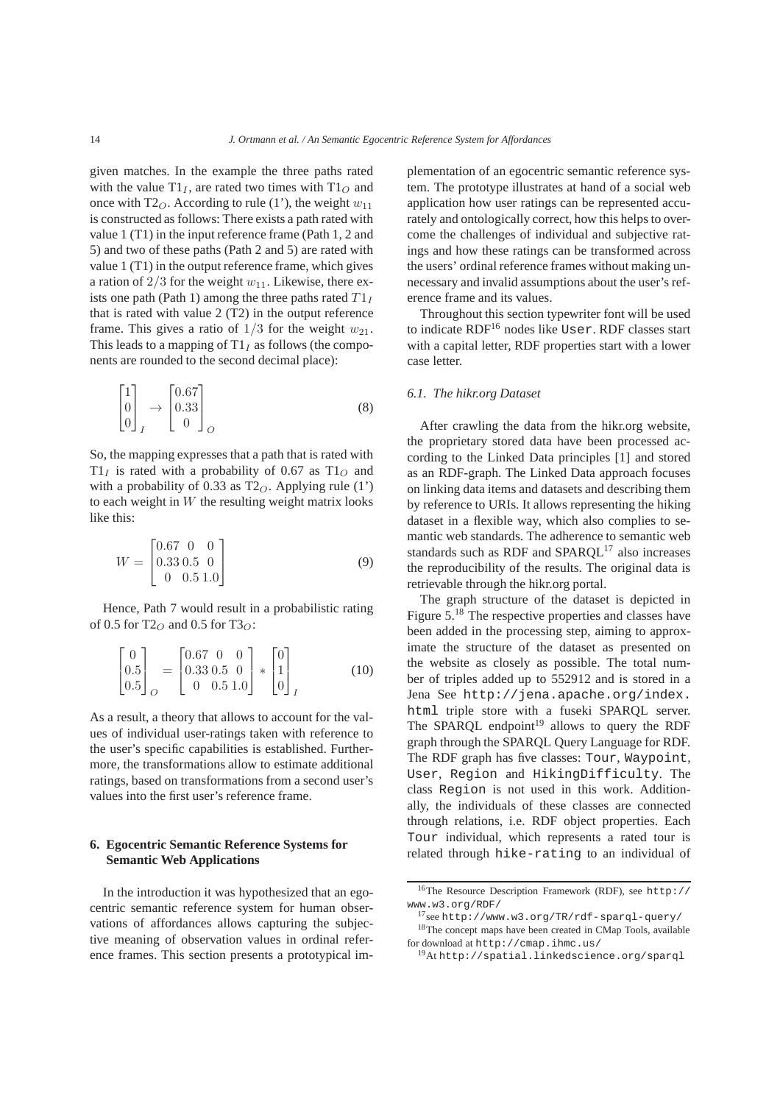given matches. In the example the three paths rated with the value  $T1_I$ , are rated two times with  $T1_O$  and once with  $T2_O$ . According to rule (1'), the weight  $w_{11}$ is constructed as follows: There exists a path rated with value 1 (T1) in the input reference frame (Path 1, 2 and 5) and two of these paths (Path 2 and 5) are rated with value 1 (T1) in the output reference frame, which gives a ration of  $2/3$  for the weight  $w_{11}$ . Likewise, there exists one path (Path 1) among the three paths rated  $T1_I$ that is rated with value 2 (T2) in the output reference frame. This gives a ratio of  $1/3$  for the weight  $w_{21}$ . This leads to a mapping of  $T1<sub>I</sub>$  as follows (the components are rounded to the second decimal place):

$$
\begin{bmatrix} 1 \\ 0 \\ 0 \end{bmatrix}_I \rightarrow \begin{bmatrix} 0.67 \\ 0.33 \\ 0 \end{bmatrix}_O \tag{8}
$$

So, the mapping expresses that a path that is rated with  $T1<sub>I</sub>$  is rated with a probability of 0.67 as T1<sub>O</sub> and with a probability of 0.33 as  $T2_O$ . Applying rule (1') to each weight in  $W$  the resulting weight matrix looks like this:

$$
W = \begin{bmatrix} 0.67 & 0 & 0 \\ 0.33 & 0.5 & 0 \\ 0 & 0.5 & 1.0 \end{bmatrix}
$$
 (9)

Hence, Path 7 would result in a probabilistic rating of 0.5 for  $T2_O$  and 0.5 for  $T3_O$ :

$$
\begin{bmatrix} 0\\0.5\\0.5 \end{bmatrix}_O = \begin{bmatrix} 0.67 & 0 & 0\\0.33 & 0.5 & 0\\0 & 0.5 & 1.0 \end{bmatrix} * \begin{bmatrix} 0\\1\\0 \end{bmatrix}_I
$$
 (10)

As a result, a theory that allows to account for the values of individual user-ratings taken with reference to the user's specific capabilities is established. Furthermore, the transformations allow to estimate additional ratings, based on transformations from a second user's values into the first user's reference frame.

# **6. Egocentric Semantic Reference Systems for Semantic Web Applications**

In the introduction it was hypothesized that an egocentric semantic reference system for human observations of affordances allows capturing the subjective meaning of observation values in ordinal reference frames. This section presents a prototypical implementation of an egocentric semantic reference system. The prototype illustrates at hand of a social web application how user ratings can be represented accurately and ontologically correct, how this helps to overcome the challenges of individual and subjective ratings and how these ratings can be transformed across the users' ordinal reference frames without making unnecessary and invalid assumptions about the user's reference frame and its values.

Throughout this section typewriter font will be used to indicate RDF<sup>16</sup> nodes like User. RDF classes start with a capital letter, RDF properties start with a lower case letter.

# *6.1. The hikr.org Dataset*

After crawling the data from the hikr.org website, the proprietary stored data have been processed according to the Linked Data principles [1] and stored as an RDF-graph. The Linked Data approach focuses on linking data items and datasets and describing them by reference to URIs. It allows representing the hiking dataset in a flexible way, which also complies to semantic web standards. The adherence to semantic web standards such as RDF and SPARQL<sup>17</sup> also increases the reproducibility of the results. The original data is retrievable through the hikr.org portal.

The graph structure of the dataset is depicted in Figure 5.<sup>18</sup> The respective properties and classes have been added in the processing step, aiming to approximate the structure of the dataset as presented on the website as closely as possible. The total number of triples added up to 552912 and is stored in a Jena See http://jena.apache.org/index. html triple store with a fuseki SPARQL server. The SPARQL endpoint<sup>19</sup> allows to query the RDF graph through the SPARQL Query Language for RDF. The RDF graph has five classes: Tour, Waypoint, User, Region and HikingDifficulty. The class Region is not used in this work. Additionally, the individuals of these classes are connected through relations, i.e. RDF object properties. Each Tour individual, which represents a rated tour is related through hike-rating to an individual of

<sup>16</sup>The Resource Description Framework (RDF), see http:// www.w3.org/RDF/

<sup>17</sup>see http://www.w3.org/TR/rdf-sparql-query/ <sup>18</sup>The concept maps have been created in CMap Tools, available for download at http://cmap.ihmc.us/

<sup>19</sup>At http://spatial.linkedscience.org/sparql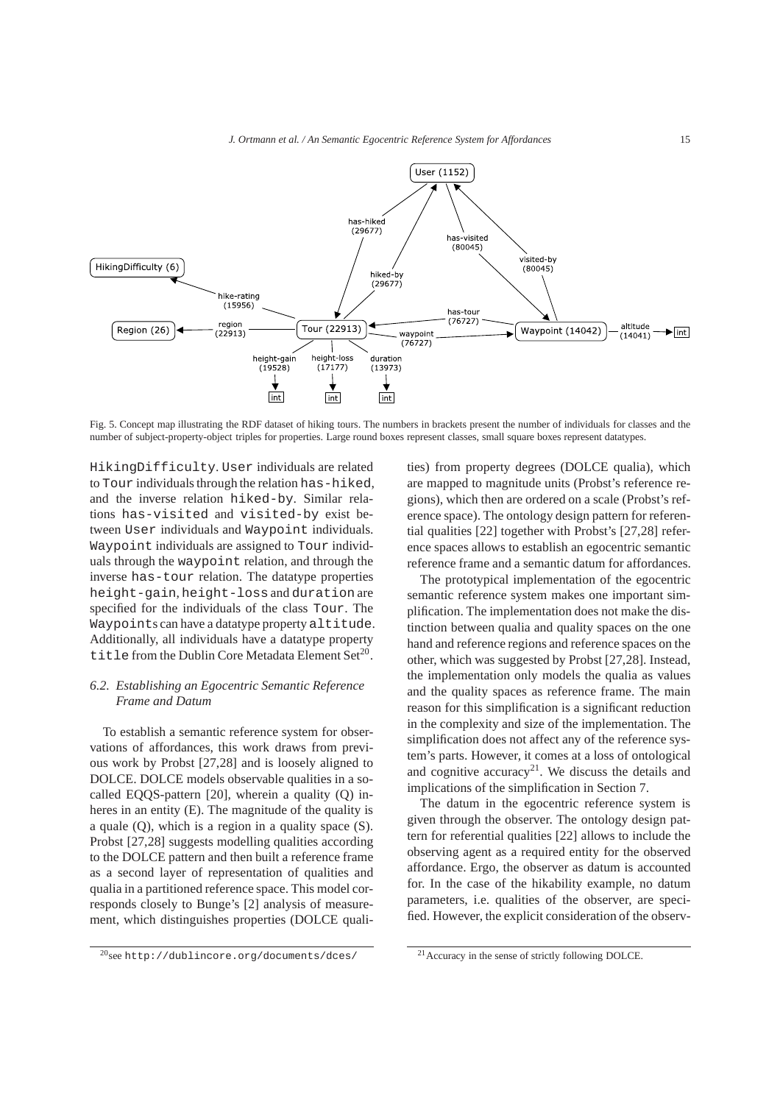

Fig. 5. Concept map illustrating the RDF dataset of hiking tours. The numbers in brackets present the number of individuals for classes and the number of subject-property-object triples for properties. Large round boxes represent classes, small square boxes represent datatypes.

HikingDifficulty. User individuals are related to Tour individuals through the relation has-hiked, and the inverse relation hiked-by. Similar relations has-visited and visited-by exist between User individuals and Waypoint individuals. Waypoint individuals are assigned to Tour individuals through the waypoint relation, and through the inverse has-tour relation. The datatype properties height-gain, height-loss and duration are specified for the individuals of the class Tour. The Waypoints can have a datatype property altitude. Additionally, all individuals have a datatype property title from the Dublin Core Metadata Element Set<sup>20</sup>.

# *6.2. Establishing an Egocentric Semantic Reference Frame and Datum*

To establish a semantic reference system for observations of affordances, this work draws from previous work by Probst [27,28] and is loosely aligned to DOLCE. DOLCE models observable qualities in a socalled EQQS-pattern [20], wherein a quality (Q) inheres in an entity (E). The magnitude of the quality is a quale (Q), which is a region in a quality space (S). Probst [27,28] suggests modelling qualities according to the DOLCE pattern and then built a reference frame as a second layer of representation of qualities and qualia in a partitioned reference space. This model corresponds closely to Bunge's [2] analysis of measurement, which distinguishes properties (DOLCE qualities) from property degrees (DOLCE qualia), which are mapped to magnitude units (Probst's reference regions), which then are ordered on a scale (Probst's reference space). The ontology design pattern for referential qualities [22] together with Probst's [27,28] reference spaces allows to establish an egocentric semantic reference frame and a semantic datum for affordances.

The prototypical implementation of the egocentric semantic reference system makes one important simplification. The implementation does not make the distinction between qualia and quality spaces on the one hand and reference regions and reference spaces on the other, which was suggested by Probst [27,28]. Instead, the implementation only models the qualia as values and the quality spaces as reference frame. The main reason for this simplification is a significant reduction in the complexity and size of the implementation. The simplification does not affect any of the reference system's parts. However, it comes at a loss of ontological and cognitive accuracy<sup>21</sup>. We discuss the details and implications of the simplification in Section 7.

The datum in the egocentric reference system is given through the observer. The ontology design pattern for referential qualities [22] allows to include the observing agent as a required entity for the observed affordance. Ergo, the observer as datum is accounted for. In the case of the hikability example, no datum parameters, i.e. qualities of the observer, are specified. However, the explicit consideration of the observ-

<sup>20</sup>see http://dublincore.org/documents/dces/

<sup>21</sup>Accuracy in the sense of strictly following DOLCE.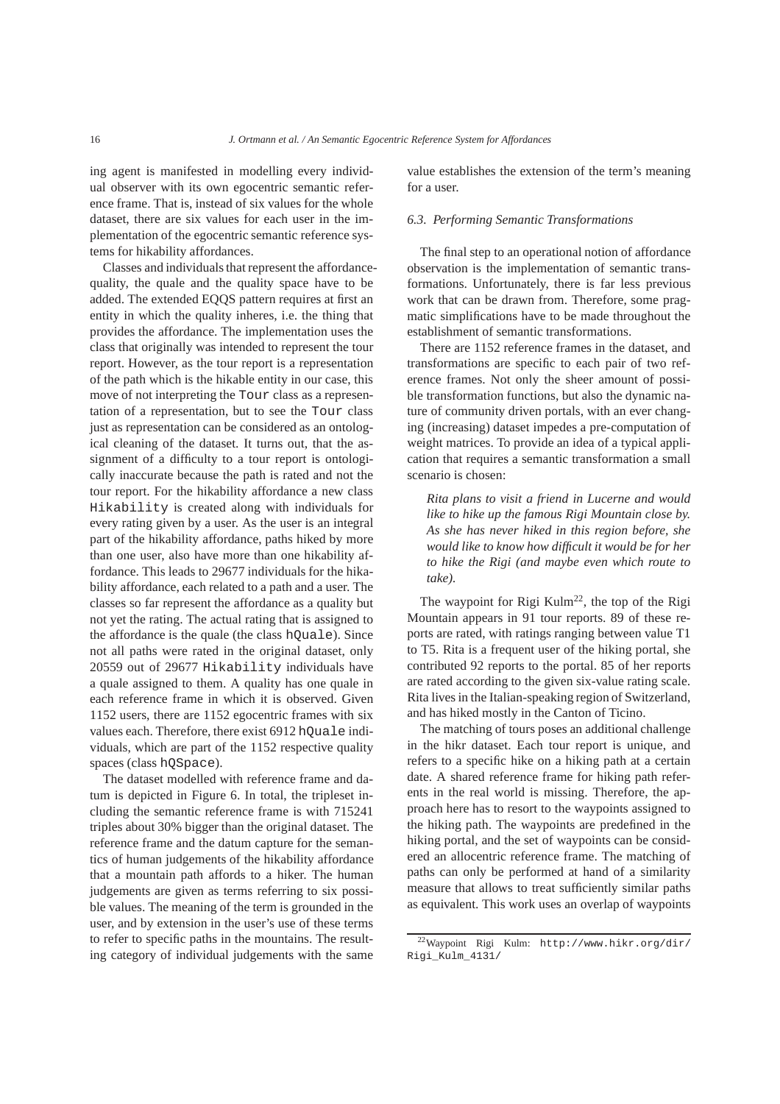ing agent is manifested in modelling every individual observer with its own egocentric semantic reference frame. That is, instead of six values for the whole dataset, there are six values for each user in the implementation of the egocentric semantic reference systems for hikability affordances.

Classes and individuals that represent the affordancequality, the quale and the quality space have to be added. The extended EQQS pattern requires at first an entity in which the quality inheres, i.e. the thing that provides the affordance. The implementation uses the class that originally was intended to represent the tour report. However, as the tour report is a representation of the path which is the hikable entity in our case, this move of not interpreting the Tour class as a representation of a representation, but to see the Tour class just as representation can be considered as an ontological cleaning of the dataset. It turns out, that the assignment of a difficulty to a tour report is ontologically inaccurate because the path is rated and not the tour report. For the hikability affordance a new class Hikability is created along with individuals for every rating given by a user. As the user is an integral part of the hikability affordance, paths hiked by more than one user, also have more than one hikability affordance. This leads to 29677 individuals for the hikability affordance, each related to a path and a user. The classes so far represent the affordance as a quality but not yet the rating. The actual rating that is assigned to the affordance is the quale (the class hQuale). Since not all paths were rated in the original dataset, only 20559 out of 29677 Hikability individuals have a quale assigned to them. A quality has one quale in each reference frame in which it is observed. Given 1152 users, there are 1152 egocentric frames with six values each. Therefore, there exist 6912 hQuale individuals, which are part of the 1152 respective quality spaces (class hQSpace).

The dataset modelled with reference frame and datum is depicted in Figure 6. In total, the tripleset including the semantic reference frame is with 715241 triples about 30% bigger than the original dataset. The reference frame and the datum capture for the semantics of human judgements of the hikability affordance that a mountain path affords to a hiker. The human judgements are given as terms referring to six possible values. The meaning of the term is grounded in the user, and by extension in the user's use of these terms to refer to specific paths in the mountains. The resulting category of individual judgements with the same value establishes the extension of the term's meaning for a user.

#### *6.3. Performing Semantic Transformations*

The final step to an operational notion of affordance observation is the implementation of semantic transformations. Unfortunately, there is far less previous work that can be drawn from. Therefore, some pragmatic simplifications have to be made throughout the establishment of semantic transformations.

There are 1152 reference frames in the dataset, and transformations are specific to each pair of two reference frames. Not only the sheer amount of possible transformation functions, but also the dynamic nature of community driven portals, with an ever changing (increasing) dataset impedes a pre-computation of weight matrices. To provide an idea of a typical application that requires a semantic transformation a small scenario is chosen:

*Rita plans to visit a friend in Lucerne and would like to hike up the famous Rigi Mountain close by. As she has never hiked in this region before, she would like to know how difficult it would be for her to hike the Rigi (and maybe even which route to take).*

The waypoint for Rigi Kulm<sup>22</sup>, the top of the Rigi Mountain appears in 91 tour reports. 89 of these reports are rated, with ratings ranging between value T1 to T5. Rita is a frequent user of the hiking portal, she contributed 92 reports to the portal. 85 of her reports are rated according to the given six-value rating scale. Rita lives in the Italian-speaking region of Switzerland, and has hiked mostly in the Canton of Ticino.

The matching of tours poses an additional challenge in the hikr dataset. Each tour report is unique, and refers to a specific hike on a hiking path at a certain date. A shared reference frame for hiking path referents in the real world is missing. Therefore, the approach here has to resort to the waypoints assigned to the hiking path. The waypoints are predefined in the hiking portal, and the set of waypoints can be considered an allocentric reference frame. The matching of paths can only be performed at hand of a similarity measure that allows to treat sufficiently similar paths as equivalent. This work uses an overlap of waypoints

<sup>22</sup>Waypoint Rigi Kulm: http://www.hikr.org/dir/ Rigi\_Kulm\_4131/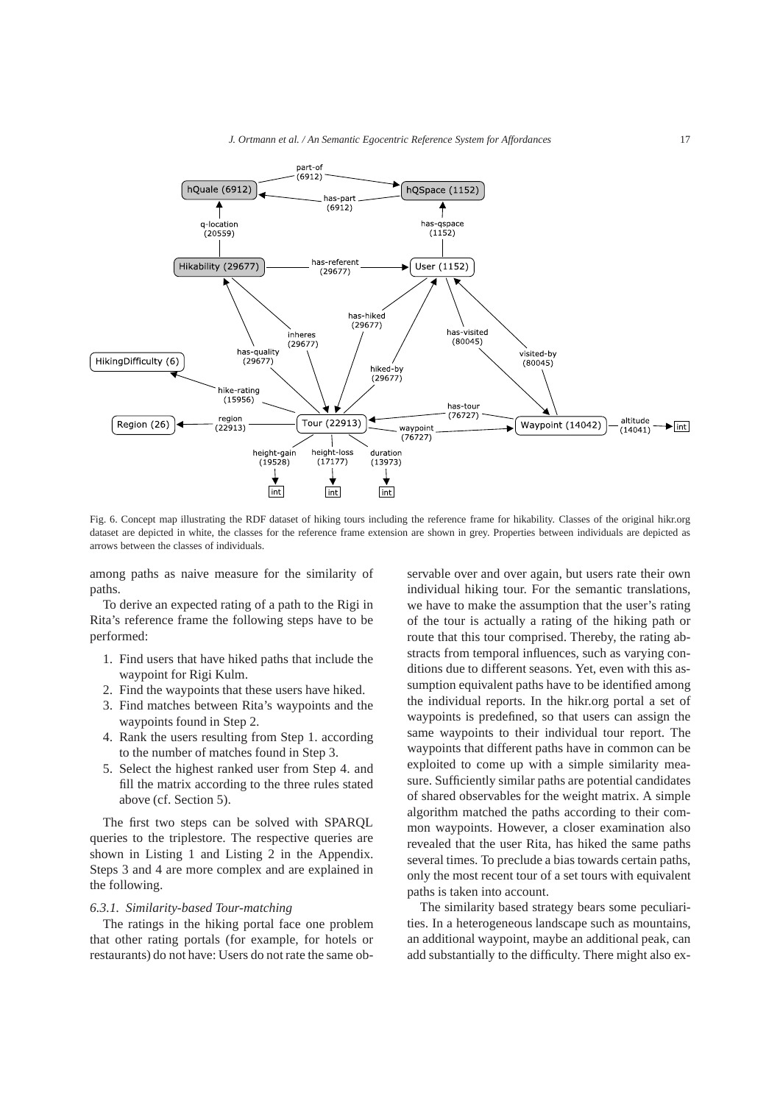

Fig. 6. Concept map illustrating the RDF dataset of hiking tours including the reference frame for hikability. Classes of the original hikr.org dataset are depicted in white, the classes for the reference frame extension are shown in grey. Properties between individuals are depicted as arrows between the classes of individuals.

among paths as naive measure for the similarity of paths.

To derive an expected rating of a path to the Rigi in Rita's reference frame the following steps have to be performed:

- 1. Find users that have hiked paths that include the waypoint for Rigi Kulm.
- 2. Find the waypoints that these users have hiked.
- 3. Find matches between Rita's waypoints and the waypoints found in Step 2.
- 4. Rank the users resulting from Step 1. according to the number of matches found in Step 3.
- 5. Select the highest ranked user from Step 4. and fill the matrix according to the three rules stated above (cf. Section 5).

The first two steps can be solved with SPARQL queries to the triplestore. The respective queries are shown in Listing 1 and Listing 2 in the Appendix. Steps 3 and 4 are more complex and are explained in the following.

#### *6.3.1. Similarity-based Tour-matching*

The ratings in the hiking portal face one problem that other rating portals (for example, for hotels or restaurants) do not have: Users do not rate the same ob-

servable over and over again, but users rate their own individual hiking tour. For the semantic translations, we have to make the assumption that the user's rating of the tour is actually a rating of the hiking path or route that this tour comprised. Thereby, the rating abstracts from temporal influences, such as varying conditions due to different seasons. Yet, even with this assumption equivalent paths have to be identified among the individual reports. In the hikr.org portal a set of waypoints is predefined, so that users can assign the same waypoints to their individual tour report. The waypoints that different paths have in common can be exploited to come up with a simple similarity measure. Sufficiently similar paths are potential candidates of shared observables for the weight matrix. A simple algorithm matched the paths according to their common waypoints. However, a closer examination also revealed that the user Rita, has hiked the same paths several times. To preclude a bias towards certain paths, only the most recent tour of a set tours with equivalent paths is taken into account.

The similarity based strategy bears some peculiarities. In a heterogeneous landscape such as mountains, an additional waypoint, maybe an additional peak, can add substantially to the difficulty. There might also ex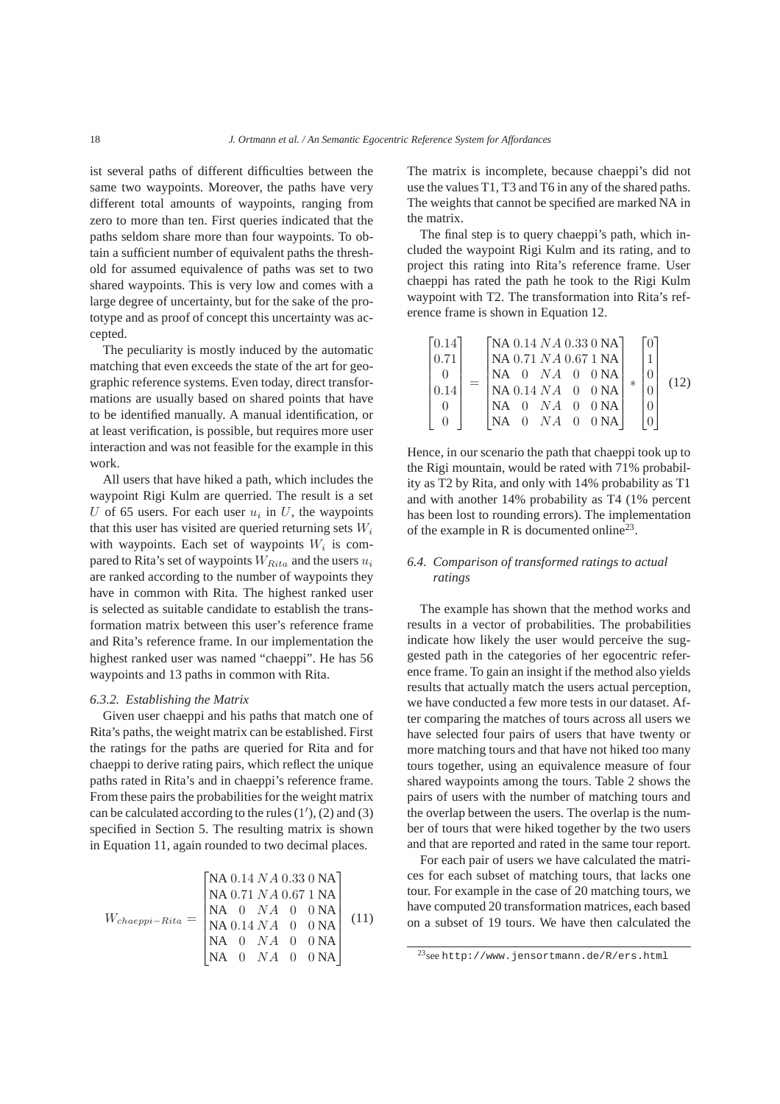ist several paths of different difficulties between the same two waypoints. Moreover, the paths have very different total amounts of waypoints, ranging from zero to more than ten. First queries indicated that the paths seldom share more than four waypoints. To obtain a sufficient number of equivalent paths the threshold for assumed equivalence of paths was set to two shared waypoints. This is very low and comes with a large degree of uncertainty, but for the sake of the prototype and as proof of concept this uncertainty was accepted.

The peculiarity is mostly induced by the automatic matching that even exceeds the state of the art for geographic reference systems. Even today, direct transformations are usually based on shared points that have to be identified manually. A manual identification, or at least verification, is possible, but requires more user interaction and was not feasible for the example in this work.

All users that have hiked a path, which includes the waypoint Rigi Kulm are querried. The result is a set U of 65 users. For each user  $u_i$  in U, the waypoints that this user has visited are queried returning sets  $W_i$ with waypoints. Each set of waypoints  $W_i$  is compared to Rita's set of waypoints  $W_{Rita}$  and the users  $u_i$ are ranked according to the number of waypoints they have in common with Rita. The highest ranked user is selected as suitable candidate to establish the transformation matrix between this user's reference frame and Rita's reference frame. In our implementation the highest ranked user was named "chaeppi". He has 56 waypoints and 13 paths in common with Rita.

#### *6.3.2. Establishing the Matrix*

Given user chaeppi and his paths that match one of Rita's paths, the weight matrix can be established. First the ratings for the paths are queried for Rita and for chaeppi to derive rating pairs, which reflect the unique paths rated in Rita's and in chaeppi's reference frame. From these pairs the probabilities for the weight matrix can be calculated according to the rules (1 ′ ), (2) and (3) specified in Section 5. The resulting matrix is shown in Equation 11, again rounded to two decimal places.

$$
W_{chaeppi-Rita} = \begin{bmatrix} \text{NA } 0.14 NA 0.33 0 NA \\ \text{NA } 0.71 NA 0.67 1 NA \\ \text{NA } 0 NA & 0 0 NA \\ \text{NA } 0.14 NA & 0 0 NA \\ \text{NA } 0 NA & 0 0 NA \\ \text{NA } 0 NA & 0 0 NA \\ \text{NA } 0 NA & 0 0 NA \end{bmatrix} (11)
$$

The matrix is incomplete, because chaeppi's did not use the values T1, T3 and T6 in any of the shared paths. The weights that cannot be specified are marked NA in the matrix.

The final step is to query chaeppi's path, which included the waypoint Rigi Kulm and its rating, and to project this rating into Rita's reference frame. User chaeppi has rated the path he took to the Rigi Kulm waypoint with T2. The transformation into Rita's reference frame is shown in Equation 12.

$$
\begin{bmatrix} 0.14 \\ 0.71 \\ 0 \\ 0.14 \\ 0 \end{bmatrix} = \begin{bmatrix} \text{NA } 0.14 N A 0.33 0 \text{ NA} \\ \text{NA } 0.71 N A 0.67 1 \text{ NA} \\ \text{NA } 0 N A 0 0 \text{ NA} \\ \text{NA } 0.14 N A 0 0 \text{ NA} \\ \text{NA } 0 N A 0 0 \text{ NA} \\ \text{NA } 0 N A 0 0 \text{ NA} \end{bmatrix} * \begin{bmatrix} 0 \\ 1 \\ 0 \\ 0 \\ 0 \\ 0 \end{bmatrix} \quad (12)
$$

Hence, in our scenario the path that chaeppi took up to the Rigi mountain, would be rated with 71% probability as T2 by Rita, and only with 14% probability as T1 and with another 14% probability as T4 (1% percent has been lost to rounding errors). The implementation of the example in R is documented online<sup>23</sup>.

#### *6.4. Comparison of transformed ratings to actual ratings*

The example has shown that the method works and results in a vector of probabilities. The probabilities indicate how likely the user would perceive the suggested path in the categories of her egocentric reference frame. To gain an insight if the method also yields results that actually match the users actual perception, we have conducted a few more tests in our dataset. After comparing the matches of tours across all users we have selected four pairs of users that have twenty or more matching tours and that have not hiked too many tours together, using an equivalence measure of four shared waypoints among the tours. Table 2 shows the pairs of users with the number of matching tours and the overlap between the users. The overlap is the number of tours that were hiked together by the two users and that are reported and rated in the same tour report.

For each pair of users we have calculated the matrices for each subset of matching tours, that lacks one tour. For example in the case of 20 matching tours, we have computed 20 transformation matrices, each based on a subset of 19 tours. We have then calculated the

<sup>23</sup>see http://www.jensortmann.de/R/ers.html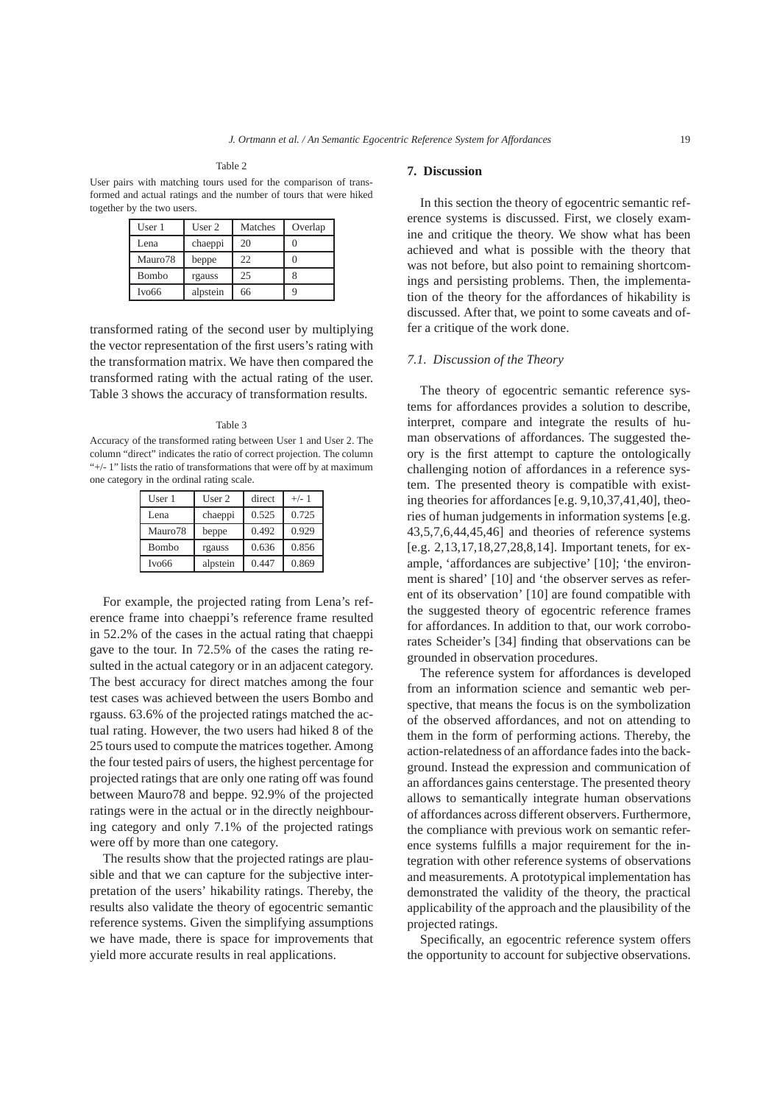Table 2

User pairs with matching tours used for the comparison of transformed and actual ratings and the number of tours that were hiked together by the two users.

| User 1       | User 2   | Matches | Overlap |
|--------------|----------|---------|---------|
| Lena         | chaeppi  | 20      |         |
| Mauro78      | beppe    | 22      |         |
| <b>Bombo</b> | rgauss   | 25      |         |
| Ivo66        | alpstein | 66      | q       |

transformed rating of the second user by multiplying the vector representation of the first users's rating with the transformation matrix. We have then compared the transformed rating with the actual rating of the user. Table 3 shows the accuracy of transformation results.

#### Table 3

Accuracy of the transformed rating between User 1 and User 2. The column "direct" indicates the ratio of correct projection. The column "+/- 1" lists the ratio of transformations that were off by at maximum one category in the ordinal rating scale.

| User 1       | User 2   | direct | $+/-1$ |
|--------------|----------|--------|--------|
| Lena         | chaeppi  | 0.525  | 0.725  |
| Mauro78      | beppe    | 0.492  | 0.929  |
| <b>Bombo</b> | rgauss   | 0.636  | 0.856  |
| Ivo66        | alpstein | 0.447  | 0.869  |

For example, the projected rating from Lena's reference frame into chaeppi's reference frame resulted in 52.2% of the cases in the actual rating that chaeppi gave to the tour. In 72.5% of the cases the rating resulted in the actual category or in an adjacent category. The best accuracy for direct matches among the four test cases was achieved between the users Bombo and rgauss. 63.6% of the projected ratings matched the actual rating. However, the two users had hiked 8 of the 25 tours used to compute the matrices together. Among the four tested pairs of users, the highest percentage for projected ratings that are only one rating off was found between Mauro78 and beppe. 92.9% of the projected ratings were in the actual or in the directly neighbouring category and only 7.1% of the projected ratings were off by more than one category.

The results show that the projected ratings are plausible and that we can capture for the subjective interpretation of the users' hikability ratings. Thereby, the results also validate the theory of egocentric semantic reference systems. Given the simplifying assumptions we have made, there is space for improvements that yield more accurate results in real applications.

#### **7. Discussion**

In this section the theory of egocentric semantic reference systems is discussed. First, we closely examine and critique the theory. We show what has been achieved and what is possible with the theory that was not before, but also point to remaining shortcomings and persisting problems. Then, the implementation of the theory for the affordances of hikability is discussed. After that, we point to some caveats and offer a critique of the work done.

#### *7.1. Discussion of the Theory*

The theory of egocentric semantic reference systems for affordances provides a solution to describe, interpret, compare and integrate the results of human observations of affordances. The suggested theory is the first attempt to capture the ontologically challenging notion of affordances in a reference system. The presented theory is compatible with existing theories for affordances [e.g. 9,10,37,41,40], theories of human judgements in information systems [e.g. 43,5,7,6,44,45,46] and theories of reference systems [e.g. 2,13,17,18,27,28,8,14]. Important tenets, for example, 'affordances are subjective' [10]; 'the environment is shared' [10] and 'the observer serves as referent of its observation' [10] are found compatible with the suggested theory of egocentric reference frames for affordances. In addition to that, our work corroborates Scheider's [34] finding that observations can be grounded in observation procedures.

The reference system for affordances is developed from an information science and semantic web perspective, that means the focus is on the symbolization of the observed affordances, and not on attending to them in the form of performing actions. Thereby, the action-relatedness of an affordance fades into the background. Instead the expression and communication of an affordances gains centerstage. The presented theory allows to semantically integrate human observations of affordances across different observers. Furthermore, the compliance with previous work on semantic reference systems fulfills a major requirement for the integration with other reference systems of observations and measurements. A prototypical implementation has demonstrated the validity of the theory, the practical applicability of the approach and the plausibility of the projected ratings.

Specifically, an egocentric reference system offers the opportunity to account for subjective observations.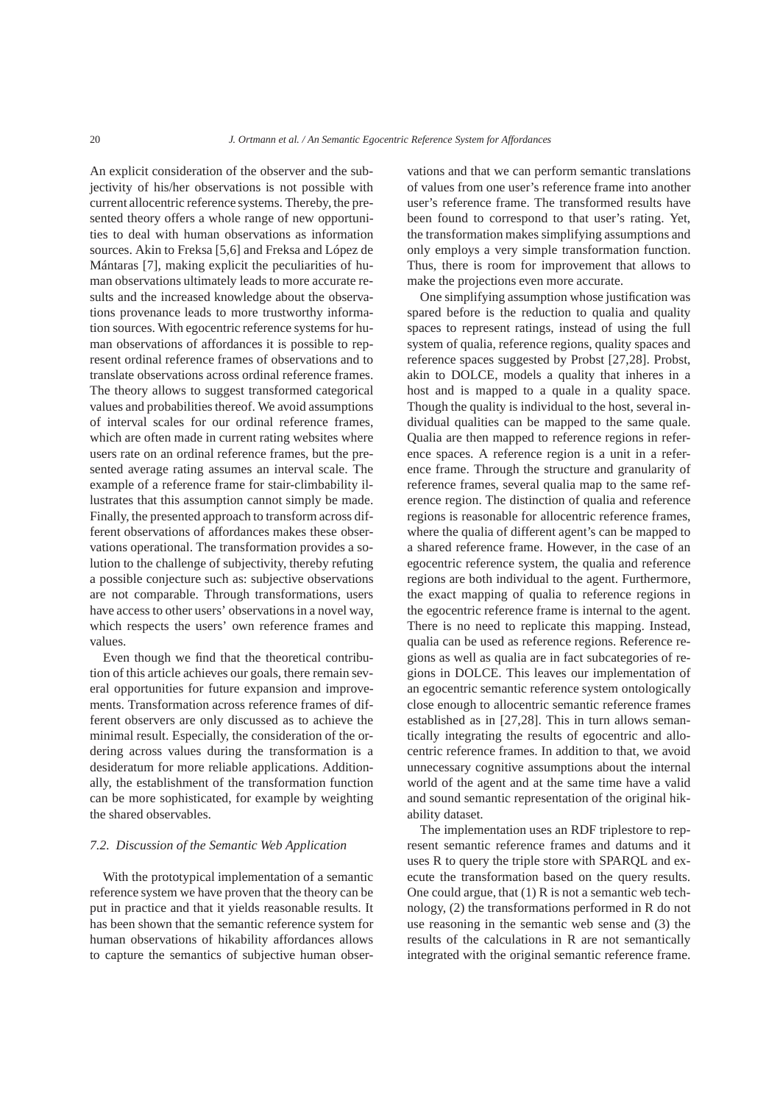An explicit consideration of the observer and the subjectivity of his/her observations is not possible with current allocentric reference systems. Thereby, the presented theory offers a whole range of new opportunities to deal with human observations as information sources. Akin to Freksa [5,6] and Freksa and López de Mántaras [7], making explicit the peculiarities of human observations ultimately leads to more accurate results and the increased knowledge about the observations provenance leads to more trustworthy information sources. With egocentric reference systems for human observations of affordances it is possible to represent ordinal reference frames of observations and to translate observations across ordinal reference frames. The theory allows to suggest transformed categorical values and probabilities thereof. We avoid assumptions of interval scales for our ordinal reference frames, which are often made in current rating websites where users rate on an ordinal reference frames, but the presented average rating assumes an interval scale. The example of a reference frame for stair-climbability illustrates that this assumption cannot simply be made. Finally, the presented approach to transform across different observations of affordances makes these observations operational. The transformation provides a solution to the challenge of subjectivity, thereby refuting a possible conjecture such as: subjective observations are not comparable. Through transformations, users have access to other users' observations in a novel way, which respects the users' own reference frames and values.

Even though we find that the theoretical contribution of this article achieves our goals, there remain several opportunities for future expansion and improvements. Transformation across reference frames of different observers are only discussed as to achieve the minimal result. Especially, the consideration of the ordering across values during the transformation is a desideratum for more reliable applications. Additionally, the establishment of the transformation function can be more sophisticated, for example by weighting the shared observables.

#### *7.2. Discussion of the Semantic Web Application*

With the prototypical implementation of a semantic reference system we have proven that the theory can be put in practice and that it yields reasonable results. It has been shown that the semantic reference system for human observations of hikability affordances allows to capture the semantics of subjective human observations and that we can perform semantic translations of values from one user's reference frame into another user's reference frame. The transformed results have been found to correspond to that user's rating. Yet, the transformation makes simplifying assumptions and only employs a very simple transformation function. Thus, there is room for improvement that allows to make the projections even more accurate.

One simplifying assumption whose justification was spared before is the reduction to qualia and quality spaces to represent ratings, instead of using the full system of qualia, reference regions, quality spaces and reference spaces suggested by Probst [27,28]. Probst, akin to DOLCE, models a quality that inheres in a host and is mapped to a quale in a quality space. Though the quality is individual to the host, several individual qualities can be mapped to the same quale. Qualia are then mapped to reference regions in reference spaces. A reference region is a unit in a reference frame. Through the structure and granularity of reference frames, several qualia map to the same reference region. The distinction of qualia and reference regions is reasonable for allocentric reference frames, where the qualia of different agent's can be mapped to a shared reference frame. However, in the case of an egocentric reference system, the qualia and reference regions are both individual to the agent. Furthermore, the exact mapping of qualia to reference regions in the egocentric reference frame is internal to the agent. There is no need to replicate this mapping. Instead, qualia can be used as reference regions. Reference regions as well as qualia are in fact subcategories of regions in DOLCE. This leaves our implementation of an egocentric semantic reference system ontologically close enough to allocentric semantic reference frames established as in [27,28]. This in turn allows semantically integrating the results of egocentric and allocentric reference frames. In addition to that, we avoid unnecessary cognitive assumptions about the internal world of the agent and at the same time have a valid and sound semantic representation of the original hikability dataset.

The implementation uses an RDF triplestore to represent semantic reference frames and datums and it uses R to query the triple store with SPARQL and execute the transformation based on the query results. One could argue, that  $(1)$  R is not a semantic web technology, (2) the transformations performed in R do not use reasoning in the semantic web sense and (3) the results of the calculations in R are not semantically integrated with the original semantic reference frame.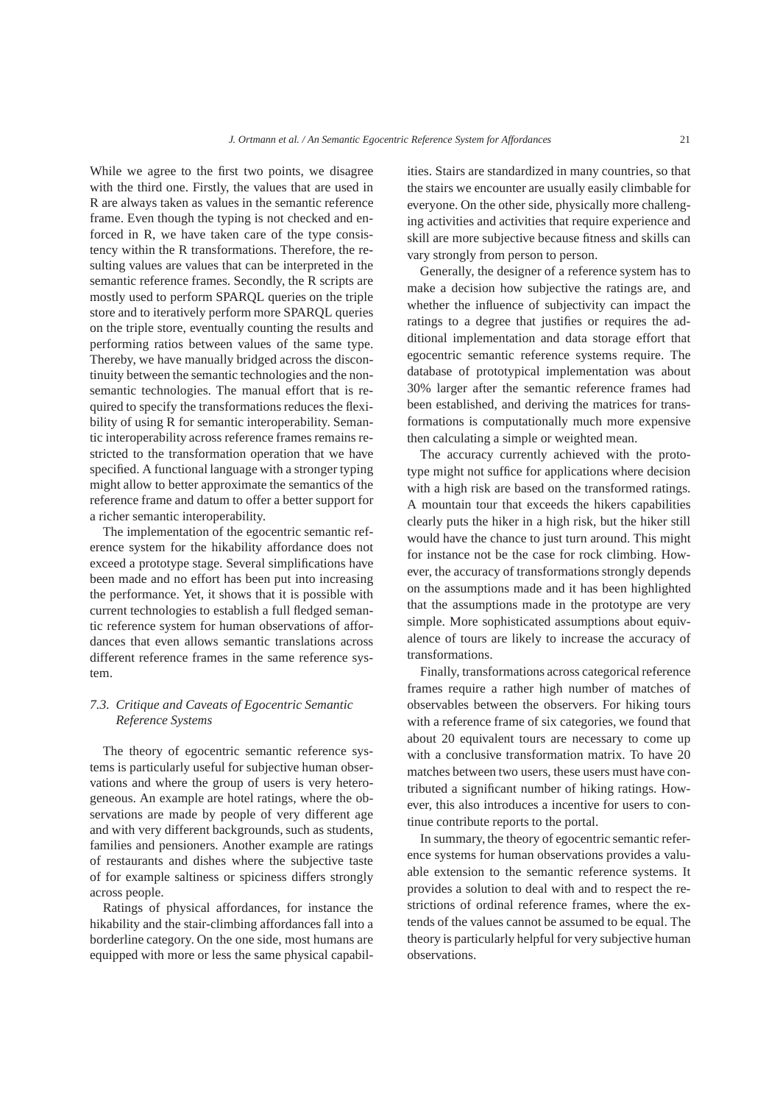While we agree to the first two points, we disagree with the third one. Firstly, the values that are used in R are always taken as values in the semantic reference frame. Even though the typing is not checked and enforced in R, we have taken care of the type consistency within the R transformations. Therefore, the resulting values are values that can be interpreted in the semantic reference frames. Secondly, the R scripts are mostly used to perform SPARQL queries on the triple store and to iteratively perform more SPARQL queries on the triple store, eventually counting the results and performing ratios between values of the same type. Thereby, we have manually bridged across the discontinuity between the semantic technologies and the nonsemantic technologies. The manual effort that is required to specify the transformations reduces the flexibility of using R for semantic interoperability. Semantic interoperability across reference frames remains restricted to the transformation operation that we have specified. A functional language with a stronger typing might allow to better approximate the semantics of the reference frame and datum to offer a better support for a richer semantic interoperability.

The implementation of the egocentric semantic reference system for the hikability affordance does not exceed a prototype stage. Several simplifications have been made and no effort has been put into increasing the performance. Yet, it shows that it is possible with current technologies to establish a full fledged semantic reference system for human observations of affordances that even allows semantic translations across different reference frames in the same reference system.

#### *7.3. Critique and Caveats of Egocentric Semantic Reference Systems*

The theory of egocentric semantic reference systems is particularly useful for subjective human observations and where the group of users is very heterogeneous. An example are hotel ratings, where the observations are made by people of very different age and with very different backgrounds, such as students, families and pensioners. Another example are ratings of restaurants and dishes where the subjective taste of for example saltiness or spiciness differs strongly across people.

Ratings of physical affordances, for instance the hikability and the stair-climbing affordances fall into a borderline category. On the one side, most humans are equipped with more or less the same physical capabilities. Stairs are standardized in many countries, so that the stairs we encounter are usually easily climbable for everyone. On the other side, physically more challenging activities and activities that require experience and skill are more subjective because fitness and skills can vary strongly from person to person.

Generally, the designer of a reference system has to make a decision how subjective the ratings are, and whether the influence of subjectivity can impact the ratings to a degree that justifies or requires the additional implementation and data storage effort that egocentric semantic reference systems require. The database of prototypical implementation was about 30% larger after the semantic reference frames had been established, and deriving the matrices for transformations is computationally much more expensive then calculating a simple or weighted mean.

The accuracy currently achieved with the prototype might not suffice for applications where decision with a high risk are based on the transformed ratings. A mountain tour that exceeds the hikers capabilities clearly puts the hiker in a high risk, but the hiker still would have the chance to just turn around. This might for instance not be the case for rock climbing. However, the accuracy of transformations strongly depends on the assumptions made and it has been highlighted that the assumptions made in the prototype are very simple. More sophisticated assumptions about equivalence of tours are likely to increase the accuracy of transformations.

Finally, transformations across categorical reference frames require a rather high number of matches of observables between the observers. For hiking tours with a reference frame of six categories, we found that about 20 equivalent tours are necessary to come up with a conclusive transformation matrix. To have 20 matches between two users, these users must have contributed a significant number of hiking ratings. However, this also introduces a incentive for users to continue contribute reports to the portal.

In summary, the theory of egocentric semantic reference systems for human observations provides a valuable extension to the semantic reference systems. It provides a solution to deal with and to respect the restrictions of ordinal reference frames, where the extends of the values cannot be assumed to be equal. The theory is particularly helpful for very subjective human observations.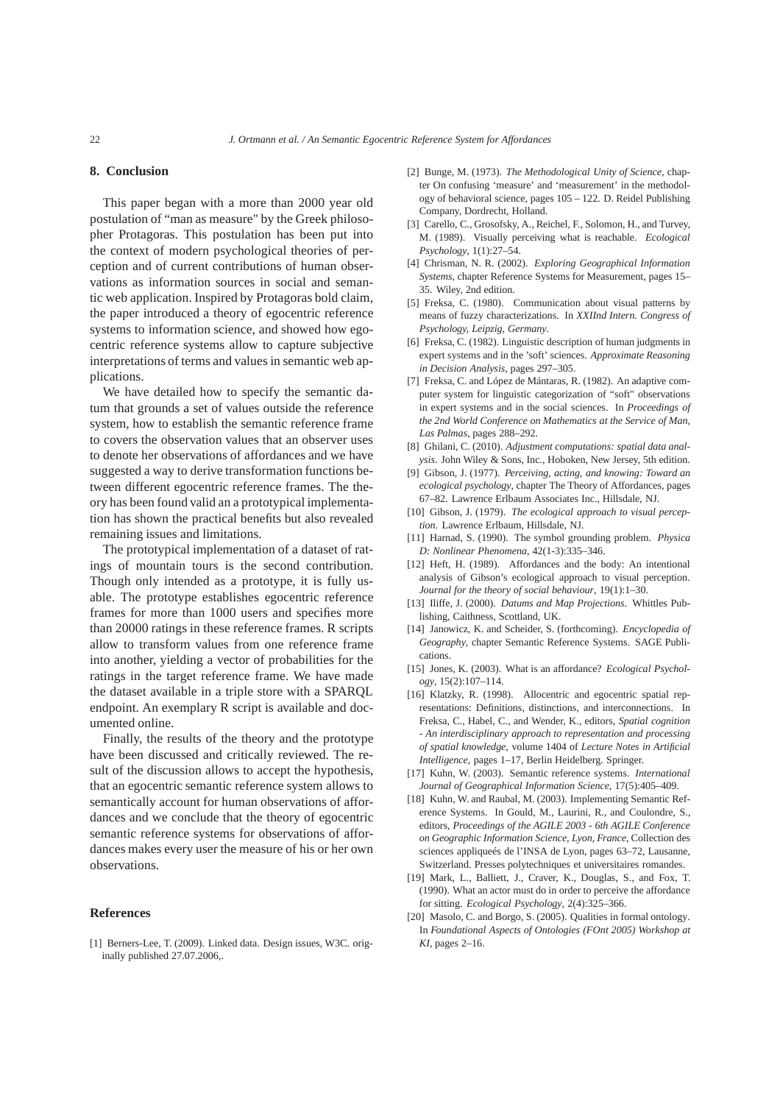# **8. Conclusion**

This paper began with a more than 2000 year old postulation of "man as measure" by the Greek philosopher Protagoras. This postulation has been put into the context of modern psychological theories of perception and of current contributions of human observations as information sources in social and semantic web application. Inspired by Protagoras bold claim, the paper introduced a theory of egocentric reference systems to information science, and showed how egocentric reference systems allow to capture subjective interpretations of terms and values in semantic web applications.

We have detailed how to specify the semantic datum that grounds a set of values outside the reference system, how to establish the semantic reference frame to covers the observation values that an observer uses to denote her observations of affordances and we have suggested a way to derive transformation functions between different egocentric reference frames. The theory has been found valid an a prototypical implementation has shown the practical benefits but also revealed remaining issues and limitations.

The prototypical implementation of a dataset of ratings of mountain tours is the second contribution. Though only intended as a prototype, it is fully usable. The prototype establishes egocentric reference frames for more than 1000 users and specifies more than 20000 ratings in these reference frames. R scripts allow to transform values from one reference frame into another, yielding a vector of probabilities for the ratings in the target reference frame. We have made the dataset available in a triple store with a SPARQL endpoint. An exemplary R script is available and documented online.

Finally, the results of the theory and the prototype have been discussed and critically reviewed. The result of the discussion allows to accept the hypothesis, that an egocentric semantic reference system allows to semantically account for human observations of affordances and we conclude that the theory of egocentric semantic reference systems for observations of affordances makes every user the measure of his or her own observations.

#### **References**

[1] Berners-Lee, T. (2009). Linked data. Design issues, W3C. originally published 27.07.2006,.

- [2] Bunge, M. (1973). *The Methodological Unity of Science*, chapter On confusing 'measure' and 'measurement' in the methodology of behavioral science, pages 105 – 122. D. Reidel Publishing Company, Dordrecht, Holland.
- [3] Carello, C., Grosofsky, A., Reichel, F., Solomon, H., and Turvey, M. (1989). Visually perceiving what is reachable. *Ecological Psychology*, 1(1):27–54.
- [4] Chrisman, N. R. (2002). *Exploring Geographical Information Systems*, chapter Reference Systems for Measurement, pages 15– 35. Wiley, 2nd edition.
- [5] Freksa, C. (1980). Communication about visual patterns by means of fuzzy characterizations. In *XXIInd Intern. Congress of Psychology, Leipzig, Germany*.
- [6] Freksa, C. (1982). Linguistic description of human judgments in expert systems and in the 'soft' sciences. *Approximate Reasoning in Decision Analysis*, pages 297–305.
- [7] Freksa, C. and López de Mántaras, R. (1982). An adaptive computer system for linguistic categorization of "soft" observations in expert systems and in the social sciences. In *Proceedings of the 2nd World Conference on Mathematics at the Service of Man, Las Palmas*, pages 288–292.
- [8] Ghilani, C. (2010). *Adjustment computations: spatial data analysis*. John Wiley & Sons, Inc., Hoboken, New Jersey, 5th edition.
- [9] Gibson, J. (1977). *Perceiving, acting, and knowing: Toward an ecological psychology*, chapter The Theory of Affordances, pages 67–82. Lawrence Erlbaum Associates Inc., Hillsdale, NJ.
- [10] Gibson, J. (1979). *The ecological approach to visual perception*. Lawrence Erlbaum, Hillsdale, NJ.
- [11] Harnad, S. (1990). The symbol grounding problem. *Physica D: Nonlinear Phenomena*, 42(1-3):335–346.
- [12] Heft, H. (1989). Affordances and the body: An intentional analysis of Gibson's ecological approach to visual perception. *Journal for the theory of social behaviour*, 19(1):1–30.
- [13] Iliffe, J. (2000). *Datums and Map Projections*. Whittles Publishing, Caithness, Scottland, UK.
- [14] Janowicz, K. and Scheider, S. (forthcoming). *Encyclopedia of Geography*, chapter Semantic Reference Systems. SAGE Publications.
- [15] Jones, K. (2003). What is an affordance? *Ecological Psychology*, 15(2):107–114.
- [16] Klatzky, R. (1998). Allocentric and egocentric spatial representations: Definitions, distinctions, and interconnections. In Freksa, C., Habel, C., and Wender, K., editors, *Spatial cognition - An interdisciplinary approach to representation and processing of spatial knowledge*, volume 1404 of *Lecture Notes in Artificial Intelligence*, pages 1–17, Berlin Heidelberg. Springer.
- [17] Kuhn, W. (2003). Semantic reference systems. *International Journal of Geographical Information Science*, 17(5):405–409.
- [18] Kuhn, W. and Raubal, M. (2003). Implementing Semantic Reference Systems. In Gould, M., Laurini, R., and Coulondre, S., editors, *Proceedings of the AGILE 2003 - 6th AGILE Conference on Geographic Information Science, Lyon, France*, Collection des sciences appliqueés de l'INSA de Lyon, pages 63–72, Lausanne, Switzerland. Presses polytechniques et universitaires romandes.
- [19] Mark, L., Balliett, J., Craver, K., Douglas, S., and Fox, T. (1990). What an actor must do in order to perceive the affordance for sitting. *Ecological Psychology*, 2(4):325–366.
- [20] Masolo, C. and Borgo, S. (2005). Qualities in formal ontology. In *Foundational Aspects of Ontologies (FOnt 2005) Workshop at KI*, pages 2–16.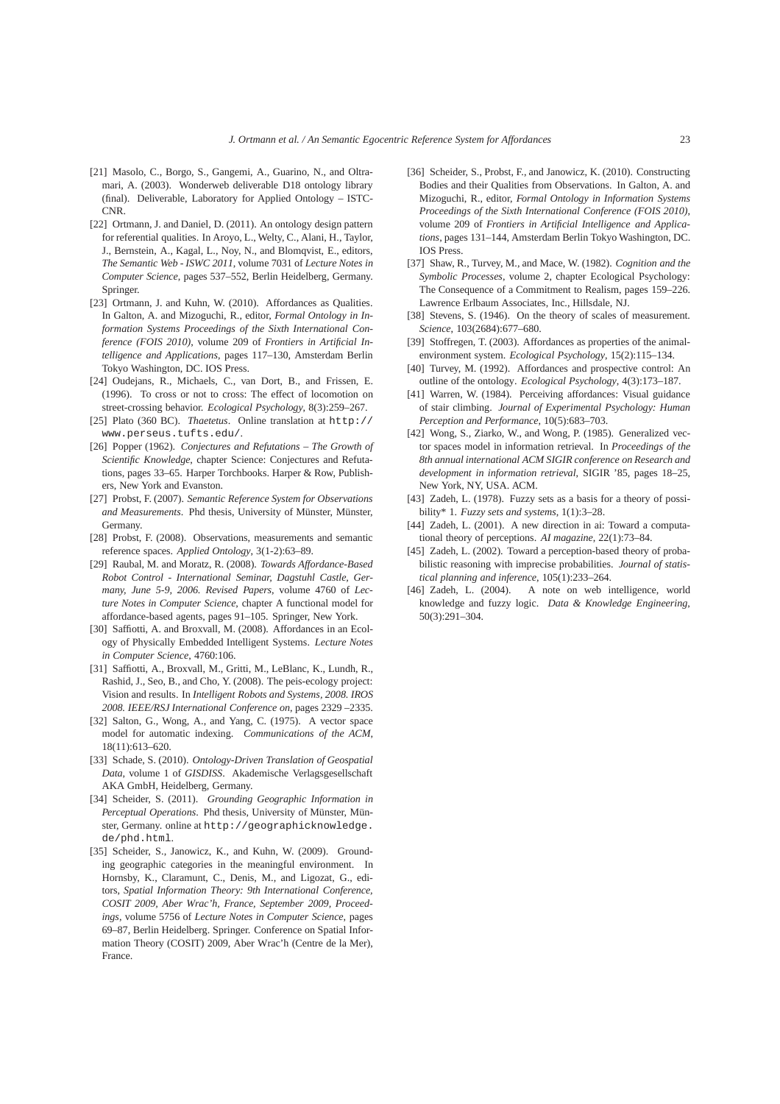- [21] Masolo, C., Borgo, S., Gangemi, A., Guarino, N., and Oltramari, A. (2003). Wonderweb deliverable D18 ontology library (final). Deliverable, Laboratory for Applied Ontology – ISTC-CNR.
- [22] Ortmann, J. and Daniel, D. (2011). An ontology design pattern for referential qualities. In Aroyo, L., Welty, C., Alani, H., Taylor, J., Bernstein, A., Kagal, L., Noy, N., and Blomqvist, E., editors, *The Semantic Web - ISWC 2011*, volume 7031 of *Lecture Notes in Computer Science*, pages 537–552, Berlin Heidelberg, Germany. Springer.
- [23] Ortmann, J. and Kuhn, W. (2010). Affordances as Qualities. In Galton, A. and Mizoguchi, R., editor, *Formal Ontology in Information Systems Proceedings of the Sixth International Conference (FOIS 2010)*, volume 209 of *Frontiers in Artificial Intelligence and Applications*, pages 117–130, Amsterdam Berlin Tokyo Washington, DC. IOS Press.
- [24] Oudejans, R., Michaels, C., van Dort, B., and Frissen, E. (1996). To cross or not to cross: The effect of locomotion on street-crossing behavior. *Ecological Psychology*, 8(3):259–267.
- [25] Plato (360 BC). *Thaetetus*. Online translation at http:// www.perseus.tufts.edu/.
- [26] Popper (1962). *Conjectures and Refutations The Growth of Scientific Knowledge*, chapter Science: Conjectures and Refutations, pages 33–65. Harper Torchbooks. Harper & Row, Publishers, New York and Evanston.
- [27] Probst, F. (2007). *Semantic Reference System for Observations and Measurements*. Phd thesis, University of Münster, Münster, Germany.
- [28] Probst, F. (2008). Observations, measurements and semantic reference spaces. *Applied Ontology*, 3(1-2):63–89.
- [29] Raubal, M. and Moratz, R. (2008). *Towards Affordance-Based Robot Control - International Seminar, Dagstuhl Castle, Germany, June 5-9, 2006. Revised Papers*, volume 4760 of *Lecture Notes in Computer Science*, chapter A functional model for affordance-based agents, pages 91–105. Springer, New York.
- [30] Saffiotti, A. and Broxvall, M. (2008). Affordances in an Ecology of Physically Embedded Intelligent Systems. *Lecture Notes in Computer Science*, 4760:106.
- [31] Saffiotti, A., Broxvall, M., Gritti, M., LeBlanc, K., Lundh, R., Rashid, J., Seo, B., and Cho, Y. (2008). The peis-ecology project: Vision and results. In *Intelligent Robots and Systems, 2008. IROS 2008. IEEE/RSJ International Conference on*, pages 2329 –2335.
- [32] Salton, G., Wong, A., and Yang, C. (1975). A vector space model for automatic indexing. *Communications of the ACM*, 18(11):613–620.
- [33] Schade, S. (2010). *Ontology-Driven Translation of Geospatial Data*, volume 1 of *GISDISS*. Akademische Verlagsgesellschaft AKA GmbH, Heidelberg, Germany.
- [34] Scheider, S. (2011). *Grounding Geographic Information in Perceptual Operations*. Phd thesis, University of Münster, Münster, Germany. online at http://geographicknowledge. de/phd.html.
- [35] Scheider, S., Janowicz, K., and Kuhn, W. (2009). Grounding geographic categories in the meaningful environment. In Hornsby, K., Claramunt, C., Denis, M., and Ligozat, G., editors, *Spatial Information Theory: 9th International Conference, COSIT 2009, Aber Wrac'h, France, September 2009, Proceedings*, volume 5756 of *Lecture Notes in Computer Science*, pages 69–87, Berlin Heidelberg. Springer. Conference on Spatial Information Theory (COSIT) 2009, Aber Wrac'h (Centre de la Mer), France.
- [36] Scheider, S., Probst, F., and Janowicz, K. (2010). Constructing Bodies and their Qualities from Observations. In Galton, A. and Mizoguchi, R., editor, *Formal Ontology in Information Systems Proceedings of the Sixth International Conference (FOIS 2010)*, volume 209 of *Frontiers in Artificial Intelligence and Applications*, pages 131–144, Amsterdam Berlin Tokyo Washington, DC. IOS Press.
- [37] Shaw, R., Turvey, M., and Mace, W. (1982). *Cognition and the Symbolic Processes*, volume 2, chapter Ecological Psychology: The Consequence of a Commitment to Realism, pages 159–226. Lawrence Erlbaum Associates, Inc., Hillsdale, NJ.
- [38] Stevens, S. (1946). On the theory of scales of measurement. *Science*, 103(2684):677–680.
- [39] Stoffregen, T. (2003). Affordances as properties of the animalenvironment system. *Ecological Psychology*, 15(2):115–134.
- [40] Turvey, M. (1992). Affordances and prospective control: An outline of the ontology. *Ecological Psychology*, 4(3):173–187.
- [41] Warren, W. (1984). Perceiving affordances: Visual guidance of stair climbing. *Journal of Experimental Psychology: Human Perception and Performance*, 10(5):683–703.
- [42] Wong, S., Ziarko, W., and Wong, P. (1985). Generalized vector spaces model in information retrieval. In *Proceedings of the 8th annual international ACM SIGIR conference on Research and development in information retrieval*, SIGIR '85, pages 18–25, New York, NY, USA. ACM.
- [43] Zadeh, L. (1978). Fuzzy sets as a basis for a theory of possibility\* 1. *Fuzzy sets and systems*, 1(1):3–28.
- [44] Zadeh, L. (2001). A new direction in ai: Toward a computational theory of perceptions. *AI magazine*, 22(1):73–84.
- [45] Zadeh, L. (2002). Toward a perception-based theory of probabilistic reasoning with imprecise probabilities. *Journal of statistical planning and inference*, 105(1):233–264.
- [46] Zadeh, L. (2004). A note on web intelligence, world knowledge and fuzzy logic. *Data & Knowledge Engineering*, 50(3):291–304.